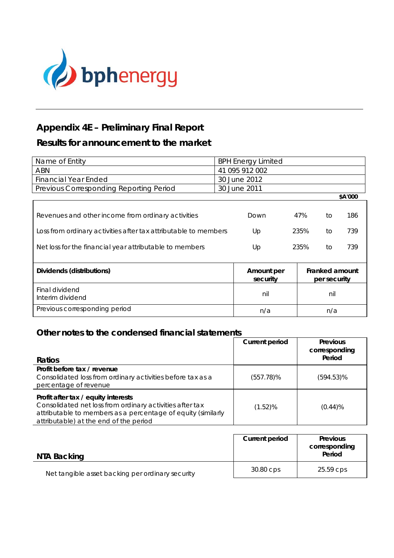

### *Appendix 4E – Preliminary Final Report*

### *Results for announcement to the market*

| Name of Entity                                                                                                        | <b>BPH Energy Limited</b> |             |              |                       |
|-----------------------------------------------------------------------------------------------------------------------|---------------------------|-------------|--------------|-----------------------|
| <b>ABN</b>                                                                                                            | 41 095 912 002            |             |              |                       |
| <b>Financial Year Ended</b>                                                                                           | 30 June 2012              |             |              |                       |
| Previous Corresponding Reporting Period                                                                               | 30 June 2011              |             |              |                       |
|                                                                                                                       |                           |             |              | \$A'000               |
| Revenues and other income from ordinary activities<br>Loss from ordinary activities after tax attributable to members | Down<br>Up                | 47%<br>235% | to<br>to     | 186<br>739            |
| Net loss for the financial year attributable to members                                                               | Up                        | 235%        | to           | 739                   |
|                                                                                                                       |                           |             |              |                       |
| Dividends (distributions)                                                                                             | Amount per<br>security    |             | per security | <b>Franked amount</b> |
| Final dividend<br>Interim dividend                                                                                    | nil                       |             | nil          |                       |
| Previous corresponding period                                                                                         | n/a                       |             | n/a          |                       |

### **Other notes to the condensed financial statements**

| Ratios                                                                                                                                                                                                    | <b>Current period</b> | <b>Previous</b><br>corresponding<br>Period |
|-----------------------------------------------------------------------------------------------------------------------------------------------------------------------------------------------------------|-----------------------|--------------------------------------------|
| Profit before tax / revenue<br>Consolidated loss from ordinary activities before tax as a<br>percentage of revenue                                                                                        | $(557.78)\%$          | $(594.53)\%$                               |
| Profit after tax / equity interests<br>Consolidated net loss from ordinary activities after tax<br>attributable to members as a percentage of equity (similarly<br>attributable) at the end of the period | $(1.52)\%$            | $(0.44)\%$                                 |

| NTA Backing                                      | <b>Current period</b> | <b>Previous</b><br>corresponding<br>Period |
|--------------------------------------------------|-----------------------|--------------------------------------------|
| Net tangible asset backing per ordinary security | 30.80 cps             | 25.59 cps                                  |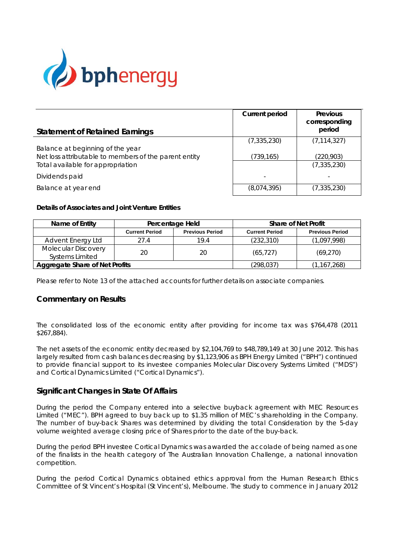

| <b>Statement of Retained Earnings</b>                                                     | <b>Current period</b>    | <b>Previous</b><br>corresponding<br>period |
|-------------------------------------------------------------------------------------------|--------------------------|--------------------------------------------|
|                                                                                           | (7, 335, 230)            | (7, 114, 327)                              |
| Balance at beginning of the year<br>Net loss attributable to members of the parent entity | (739,165)                | (220, 903)                                 |
| Total available for appropriation                                                         |                          | (7, 335, 230)                              |
| Dividends paid                                                                            | $\overline{\phantom{a}}$ |                                            |
| Balance at year end                                                                       | (8,074,395)              | (7, 335, 230)                              |

#### **Details of Associates and Joint Venture Entities**

| Name of Entity                        | Percentage Held       |                        |                       | <b>Share of Net Profit</b> |
|---------------------------------------|-----------------------|------------------------|-----------------------|----------------------------|
|                                       | <b>Current Period</b> | <b>Previous Period</b> | <b>Current Period</b> | <b>Previous Period</b>     |
| Advent Energy Ltd                     | 27.4                  | 19.4                   | (232, 310)            | (1,097,998)                |
| <b>Molecular Discovery</b>            | 20                    | 20                     | (65, 727)             | (69, 270)                  |
| <b>Systems Limited</b>                |                       |                        |                       |                            |
| <b>Aggregate Share of Net Profits</b> |                       |                        | (298, 037)            | (1,167,268)                |

Please refer to Note 13 of the attached accounts for further details on associate companies.

#### **Commentary on Results**

The consolidated loss of the economic entity after providing for income tax was \$764,478 (2011 \$267,884).

The net assets of the economic entity decreased by \$2,104,769 to \$48,789,149 at 30 June 2012. This has largely resulted from cash balances decreasing by \$1,123,906 as BPH Energy Limited ("BPH") continued to provide financial support to its investee companies Molecular Discovery Systems Limited ("MDS") and Cortical Dynamics Limited ("Cortical Dynamics").

#### **Significant Changes in State Of Affairs**

During the period the Company entered into a selective buyback agreement with MEC Resources Limited ("MEC"). BPH agreed to buy back up to \$1.35 million of MEC's shareholding in the Company. The number of buy-back Shares was determined by dividing the total Consideration by the 5-day volume weighted average closing price of Shares prior to the date of the buy-back.

During the period BPH investee Cortical Dynamics was awarded the accolade of being named as one of the finalists in the health category of The Australian Innovation Challenge, a national innovation competition.

During the period Cortical Dynamics obtained ethics approval from the Human Research Ethics Committee of St Vincent's Hospital (St Vincent's), Melbourne. The study to commence in January 2012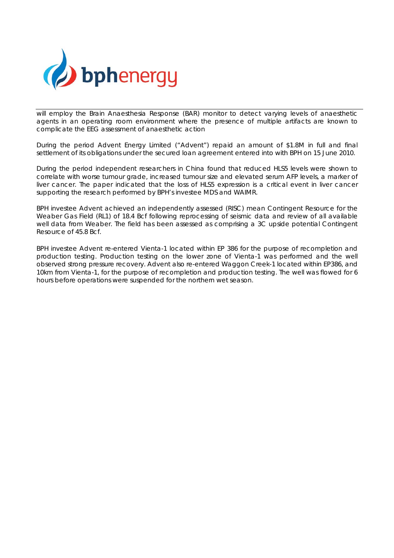

will employ the Brain Anaesthesia Response (BAR) monitor to detect varying levels of anaesthetic agents in an operating room environment where the presence of multiple artifacts are known to complicate the EEG assessment of anaesthetic action

During the period Advent Energy Limited ("Advent") repaid an amount of \$1.8M in full and final settlement of its obligations under the secured loan agreement entered into with BPH on 15 June 2010.

During the period independent researchers in China found that reduced HLS5 levels were shown to correlate with worse tumour grade, increased tumour size and elevated serum AFP levels, a marker of liver cancer. The paper indicated that the loss of HLS5 expression is a critical event in liver cancer supporting the research performed by BPH's investee MDS and WAIMR.

BPH investee Advent achieved an independently assessed (RISC) mean Contingent Resource for the Weaber Gas Field (RL1) of 18.4 Bcf following reprocessing of seismic data and review of all available well data from Weaber. The field has been assessed as comprising a 3C upside potential Contingent Resource of 45.8 Bcf.

BPH investee Advent re-entered Vienta-1 located within EP 386 for the purpose of recompletion and production testing. Production testing on the lower zone of Vienta-1 was performed and the well observed strong pressure recovery. Advent also re-entered Waggon Creek-1 located within EP386, and 10km from Vienta-1, for the purpose of recompletion and production testing. The well was flowed for 6 hours before operations were suspended for the northern wet season.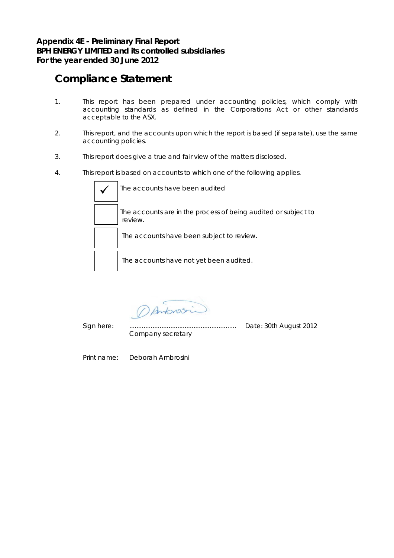### **Compliance Statement**

- 1. This report has been prepared under accounting policies, which comply with accounting standards as defined in the Corporations Act or other standards acceptable to the ASX.
- 2. This report, and the accounts upon which the report is based (if separate), use the same accounting policies.
- 3. This report does give a true and fair view of the matters disclosed.
- 4. This report is based on accounts to which one of the following applies.

| The accounts have been audited                                            |
|---------------------------------------------------------------------------|
| The accounts are in the process of being audited or subject to<br>review. |
| The accounts have been subject to review.                                 |
| The accounts have not yet been audited.                                   |

Antonos

Company secretary

Sign here: ............................................................ Date: 30th August 2012

Print name: Deborah Ambrosini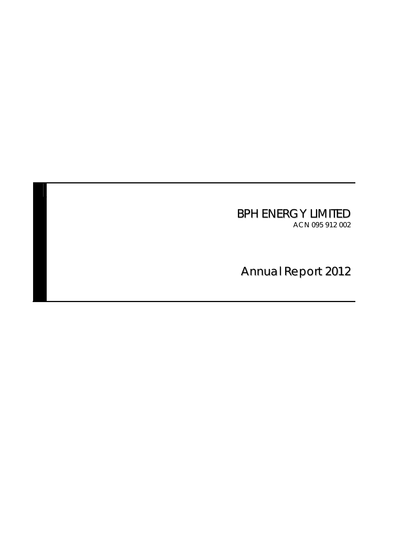### BPH ENERGY LIMITED ACN 095 912 002

Annual Report 2012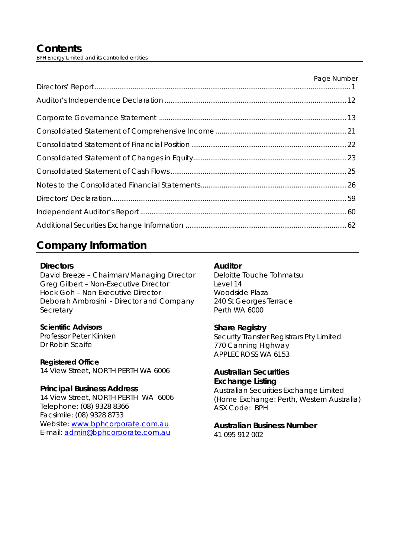BPH Energy Limited and its controlled entities

| Page Number |
|-------------|
|             |
|             |
|             |
|             |
|             |
|             |
|             |
|             |
|             |
|             |
|             |

### **Company Information**

#### **Directors**

David Breeze – Chairman/Managing Director Greg Gilbert – Non-Executive Director Hock Goh – Non Executive Director Deborah Ambrosini - Director and Company **Secretary** 

### **Scientific Advisors**

Professor Peter Klinken Dr Robin Scaife

**Registered Office**  14 View Street, NORTH PERTH WA 6006

### **Principal Business Address**

14 View Street, NORTH PERTH WA 6006 Telephone: (08) 9328 8366 Facsimile: (08) 9328 8733 Website: www.bphcorporate.com.au E-mail: admin@bphcorporate.com.au

### **Auditor**

Deloitte Touche Tohmatsu Level 14 Woodside Plaza 240 St Georges Terrace Perth WA 6000

### **Share Registry**

Security Transfer Registrars Pty Limited 770 Canning Highway APPLECROSS WA 6153

### **Australian Securities Exchange Listing**

Australian Securities Exchange Limited (Home Exchange: Perth, Western Australia) ASX Code: BPH

#### **Australian Business Number**  41 095 912 002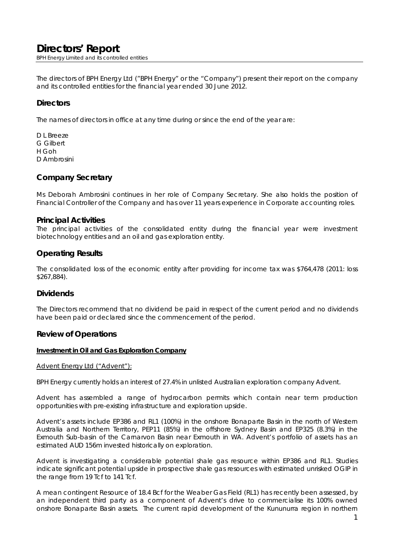The directors of BPH Energy Ltd ("BPH Energy" or the "Company") present their report on the company and its controlled entities for the financial year ended 30 June 2012.

### **Directors**

The names of directors in office at any time during or since the end of the year are:

D L Breeze G Gilbert H Goh D Ambrosini

#### **Company Secretary**

Ms Deborah Ambrosini continues in her role of Company Secretary. She also holds the position of Financial Controller of the Company and has over 11 years experience in Corporate accounting roles.

#### **Principal Activities**

The principal activities of the consolidated entity during the financial year were investment biotechnology entities and an oil and gas exploration entity.

#### **Operating Results**

The consolidated loss of the economic entity after providing for income tax was \$764,478 (2011: loss \$267,884).

#### **Dividends**

The Directors recommend that no dividend be paid in respect of the current period and no dividends have been paid or declared since the commencement of the period.

#### **Review of Operations**

#### **Investment in Oil and Gas Exploration Company**

#### Advent Energy Ltd ("Advent"):

BPH Energy currently holds an interest of 27.4% in unlisted Australian exploration company Advent.

Advent has assembled a range of hydrocarbon permits which contain near term production opportunities with pre-existing infrastructure and exploration upside.

Advent's assets include EP386 and RL1 (100%) in the onshore Bonaparte Basin in the north of Western Australia and Northern Territory, PEP11 (85%) in the offshore Sydney Basin and EP325 (8.3%) in the Exmouth Sub-basin of the Carnarvon Basin near Exmouth in WA. Advent's portfolio of assets has an estimated AUD 156m invested historically on exploration.

Advent is investigating a considerable potential shale gas resource within EP386 and RL1. Studies indicate significant potential upside in prospective shale gas resources with estimated unrisked OGIP in the range from 19 Tcf to 141 Tcf.

A mean contingent Resource of 18.4 Bcf for the Weaber Gas Field (RL1) has recently been assessed, by an independent third party as a component of Advent's drive to commercialise its 100% owned onshore Bonaparte Basin assets. The current rapid development of the Kununurra region in northern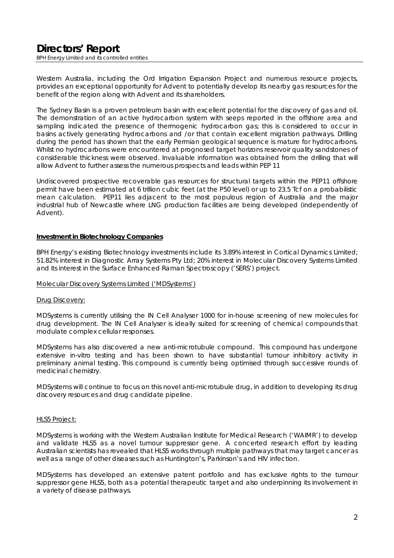#### **Directors' Report**  BPH Energy Limited and its controlled entities

Western Australia, including the Ord Irrigation Expansion Project and numerous resource projects, provides an exceptional opportunity for Advent to potentially develop its nearby gas resources for the benefit of the region along with Advent and its shareholders.

The Sydney Basin is a proven petroleum basin with excellent potential for the discovery of gas and oil. The demonstration of an active hydrocarbon system with seeps reported in the offshore area and sampling indicated the presence of thermogenic hydrocarbon gas; this is considered to occur in basins actively generating hydrocarbons and /or that contain excellent migration pathways. Drilling during the period has shown that the early Permian geological sequence is mature for hydrocarbons. Whilst no hydrocarbons were encountered at prognosed target horizons reservoir quality sandstones of considerable thickness were observed. Invaluable information was obtained from the drilling that will allow Advent to further assess the numerous prospects and leads within PEP 11

Undiscovered prospective recoverable gas resources for structural targets within the PEP11 offshore permit have been estimated at 6 trillion cubic feet (at the P50 level) or up to 23.5 Tcf on a probabilistic mean calculation. PEP11 lies adjacent to the most populous region of Australia and the major industrial hub of Newcastle where LNG production facilities are being developed (independently of Advent).

#### **Investment in Biotechnology Companies**

BPH Energy's existing Biotechnology investments include its 3.89% interest in Cortical Dynamics Limited; 51.82% interest in Diagnostic Array Systems Pty Ltd; 20% interest in Molecular Discovery Systems Limited and its interest in the Surface Enhanced Raman Spectroscopy ('SERS') project.

#### Molecular Discovery Systems Limited ('MDSystems')

#### *Drug Discovery:*

MDSystems is currently utilising the IN Cell Analyser 1000 for in-house screening of new molecules for drug development. The IN Cell Analyser is ideally suited for screening of chemical compounds that modulate complex cellular responses.

MDSystems has also discovered a new anti-microtubule compound. This compound has undergone extensive in-vitro testing and has been shown to have substantial tumour inhibitory activity in preliminary animal testing. This compound is currently being optimised through successive rounds of medicinal chemistry.

MDSystems will continue to focus on this novel anti-microtubule drug, in addition to developing its drug discovery resources and drug candidate pipeline.

#### HLS5 Project:

MDSystems is working with the Western Australian Institute for Medical Research ('WAIMR') to develop and validate HLS5 as a novel tumour suppressor gene. A concerted research effort by leading Australian scientists has revealed that HLS5 works through multiple pathways that may target cancer as well as a range of other diseases such as Huntington's, Parkinson's and HIV infection.

MDSystems has developed an extensive patent portfolio and has exclusive rights to the tumour suppressor gene HLS5, both as a potential therapeutic target and also underpinning its involvement in a variety of disease pathways.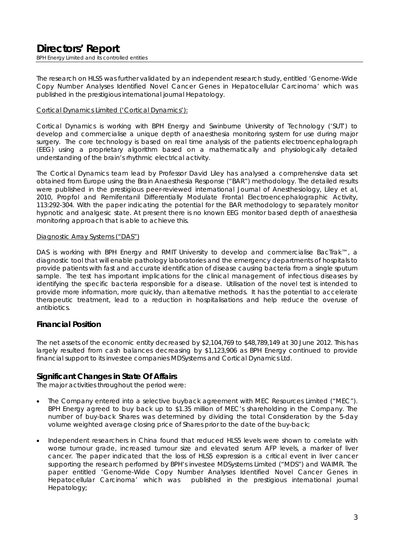The research on HLS5 was further validated by an independent research study, entitled 'Genome-Wide Copy Number Analyses Identified Novel Cancer Genes in Hepatocellular Carcinoma' which was published in the prestigious international journal Hepatology.

#### Cortical Dynamics Limited ('Cortical Dynamics'):

Cortical Dynamics is working with BPH Energy and Swinburne University of Technology ('SUT') to develop and commercialise a unique depth of anaesthesia monitoring system for use during major surgery. The core technology is based on real time analysis of the patients electroencephalograph (EEG) using a proprietary algorithm based on a mathematically and physiologically detailed understanding of the brain's rhythmic electrical activity.

The Cortical Dynamics team lead by Professor David Liley has analysed a comprehensive data set obtained from Europe using the Brain Anaesthesia Response ("BAR") methodology. The detailed results were published in the prestigious peer-reviewed international Journal of Anesthesiology, Liley et al, 2010, Propfol and Remifentanil Differentially Modulate Frontal Electroencephalographic Activity, 113:292-304. With the paper indicating the potential for the BAR methodology to separately monitor hypnotic and analgesic state. At present there is no known EEG monitor based depth of anaesthesia monitoring approach that is able to achieve this.

#### Diagnostic Array Systems ("DAS")

DAS is working with BPH Energy and RMIT University to develop and commercialise BacTrak™, a diagnostic tool that will enable pathology laboratories and the emergency departments of hospitals to provide patients with fast and accurate identification of disease causing bacteria from a single sputum sample. The test has important implications for the clinical management of infectious diseases by identifying the specific bacteria responsible for a disease. Utilisation of the novel test is intended to provide more information, more quickly, than alternative methods. It has the potential to accelerate therapeutic treatment, lead to a reduction in hospitalisations and help reduce the overuse of antibiotics.

#### **Financial Position**

The net assets of the economic entity decreased by \$2,104,769 to \$48,789,149 at 30 June 2012. This has largely resulted from cash balances decreasing by \$1,123,906 as BPH Energy continued to provide financial support to its investee companies MDSystems and Cortical Dynamics Ltd.

#### **Significant Changes in State Of Affairs**

The major activities throughout the period were:

- The Company entered into a selective buyback agreement with MEC Resources Limited ("MEC"). BPH Energy agreed to buy back up to \$1.35 million of MEC's shareholding in the Company. The number of buy-back Shares was determined by dividing the total Consideration by the 5-day volume weighted average closing price of Shares prior to the date of the buy-back;
- Independent researchers in China found that reduced HLS5 levels were shown to correlate with worse tumour grade, increased tumour size and elevated serum AFP levels, a marker of liver cancer. The paper indicated that the loss of HLS5 expression is a critical event in liver cancer supporting the research performed by BPH's investee MDSystems Limited ("MDS") and WAIMR. The paper entitled 'Genome-Wide Copy Number Analyses Identified Novel Cancer Genes in Hepatocellular Carcinoma' which was published in the prestigious international journal Hepatology;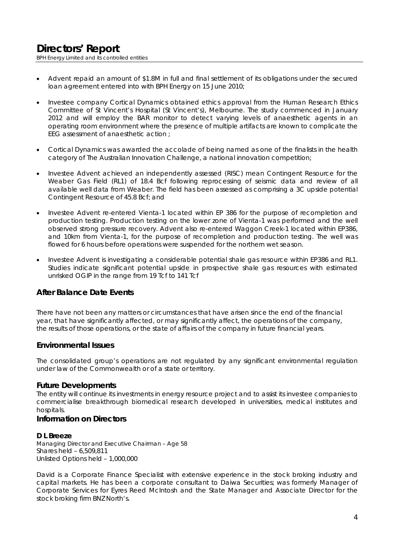### **Directors' Report**

BPH Energy Limited and its controlled entities

- Advent repaid an amount of \$1.8M in full and final settlement of its obligations under the secured loan agreement entered into with BPH Energy on 15 June 2010;
- Investee company Cortical Dynamics obtained ethics approval from the Human Research Ethics Committee of St Vincent's Hospital (St Vincent's), Melbourne. The study commenced in January 2012 and will employ the BAR monitor to detect varying levels of anaesthetic agents in an operating room environment where the presence of multiple artifacts are known to complicate the EEG assessment of anaesthetic action ;
- Cortical Dynamics was awarded the accolade of being named as one of the finalists in the health category of The Australian Innovation Challenge, a national innovation competition;
- Investee Advent achieved an independently assessed (RISC) mean Contingent Resource for the Weaber Gas Field (RL1) of 18.4 Bcf following reprocessing of seismic data and review of all available well data from Weaber. The field has been assessed as comprising a 3C upside potential Contingent Resource of 45.8 Bcf; and
- Investee Advent re-entered Vienta-1 located within EP 386 for the purpose of recompletion and production testing. Production testing on the lower zone of Vienta-1 was performed and the well observed strong pressure recovery. Advent also re-entered Waggon Creek-1 located within EP386, and 10km from Vienta-1, for the purpose of recompletion and production testing. The well was flowed for 6 hours before operations were suspended for the northern wet season.
- Investee Advent is investigating a considerable potential shale gas resource within EP386 and RL1. Studies indicate significant potential upside in prospective shale gas resources with estimated unrisked OGIP in the range from 19 Tcf to 141 Tcf

#### **After Balance Date Events**

There have not been any matters or circumstances that have arisen since the end of the financial year, that have significantly affected, or may significantly affect, the operations of the company, the results of those operations, or the state of affairs of the company in future financial years.

#### **Environmental Issues**

The consolidated group's operations are not regulated by any significant environmental regulation under law of the Commonwealth or of a state or territory.

#### **Future Developments**

The entity will continue its investments in energy resource project and to assist its investee companies to commercialise breakthrough biomedical research developed in universities, medical institutes and hospitals.

#### **Information on Directors**

#### **D L Breeze**

*Managing Director and Executive Chairman – Age 58*  Shares held – 6,509,811 Unlisted Options held – 1,000,000

David is a Corporate Finance Specialist with extensive experience in the stock broking industry and capital markets. He has been a corporate consultant to Daiwa Securities; was formerly Manager of Corporate Services for Eyres Reed McIntosh and the State Manager and Associate Director for the stock broking firm BNZ North's.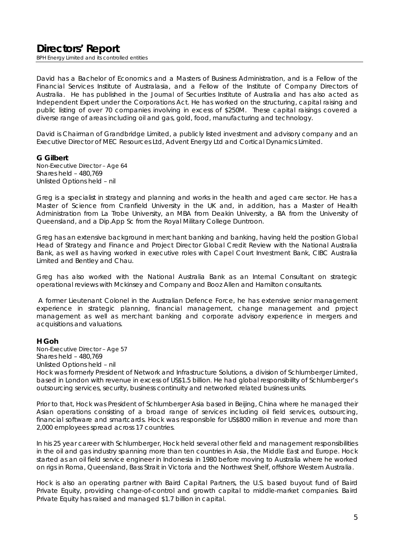David has a Bachelor of Economics and a Masters of Business Administration, and is a Fellow of the Financial Services Institute of Australasia, and a Fellow of the Institute of Company Directors of Australia. He has published in the Journal of Securities Institute of Australia and has also acted as Independent Expert under the Corporations Act. He has worked on the structuring, capital raising and public listing of over 70 companies involving in excess of \$250M. These capital raisings covered a diverse range of areas including oil and gas, gold, food, manufacturing and technology.

David is Chairman of Grandbridge Limited, a publicly listed investment and advisory company and an Executive Director of MEC Resources Ltd, Advent Energy Ltd and Cortical Dynamics Limited.

#### **G Gilbert**

*Non-Executive Director – Age 64*  Shares held – 480,769 Unlisted Options held – nil

Greg is a specialist in strategy and planning and works in the health and aged care sector. He has a Master of Science from Cranfield University in the UK and, in addition, has a Master of Health Administration from La Trobe University, an MBA from Deakin University, a BA from the University of Queensland, and a Dip.App Sc from the Royal Military College Duntroon.

Greg has an extensive background in merchant banking and banking, having held the position Global Head of Strategy and Finance and Project Director Global Credit Review with the National Australia Bank, as well as having worked in executive roles with Capel Court Investment Bank, CIBC Australia Limited and Bentley and Chau.

Greg has also worked with the National Australia Bank as an Internal Consultant on strategic operational reviews with Mckinsey and Company and Booz Allen and Hamilton consultants.

 A former Lieutenant Colonel in the Australian Defence Force, he has extensive senior management experience in strategic planning, financial management, change management and project management as well as merchant banking and corporate advisory experience in mergers and acquisitions and valuations.

#### **H Goh**

*Non-Executive Director – Age 57*  Shares held – 480,769 Unlisted Options held – nil

Hock was formerly President of Network and Infrastructure Solutions, a division of Schlumberger Limited, based in London with revenue in excess of US\$1.5 billion. He had global responsibility of Schlumberger's outsourcing services, security, business continuity and networked related business units.

Prior to that, Hock was President of Schlumberger Asia based in Beijing, China where he managed their Asian operations consisting of a broad range of services including oil field services, outsourcing, financial software and smartcards. Hock was responsible for US\$800 million in revenue and more than 2,000 employees spread across 17 countries.

In his 25 year career with Schlumberger, Hock held several other field and management responsibilities in the oil and gas industry spanning more than ten countries in Asia, the Middle East and Europe. Hock started as an oil field service engineer in Indonesia in 1980 before moving to Australia where he worked on rigs in Roma, Queensland, Bass Strait in Victoria and the Northwest Shelf, offshore Western Australia.

Hock is also an operating partner with Baird Capital Partners, the U.S. based buyout fund of Baird Private Equity, providing change-of-control and growth capital to middle-market companies. Baird Private Equity has raised and managed \$1.7 billion in capital.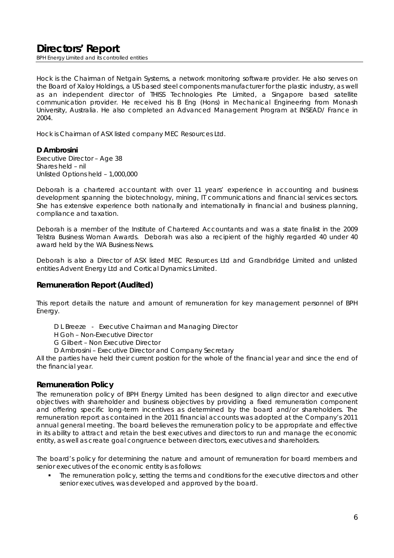Hock is the Chairman of Netgain Systems, a network monitoring software provider. He also serves on the Board of Xaloy Holdings, a US based steel components manufacturer for the plastic industry, as well as an independent director of THISS Technologies Pte Limited, a Singapore based satellite communication provider. He received his B Eng (Hons) in Mechanical Engineering from Monash University, Australia. He also completed an Advanced Management Program at INSEAD/ France in  $2004$ 

Hock is Chairman of ASX listed company MEC Resources Ltd.

#### **D Ambrosini**

*Executive Director – Age 38*  Shares held – nil Unlisted Options held – 1,000,000

Deborah is a chartered accountant with over 11 years' experience in accounting and business development spanning the biotechnology, mining, IT communications and financial services sectors. She has extensive experience both nationally and internationally in financial and business planning, compliance and taxation.

Deborah is a member of the Institute of Chartered Accountants and was a state finalist in the 2009 Telstra Business Woman Awards. Deborah was also a recipient of the highly regarded 40 under 40 award held by the WA Business News.

Deborah is also a Director of ASX listed MEC Resources Ltd and Grandbridge Limited and unlisted entities Advent Energy Ltd and Cortical Dynamics Limited.

#### **Remuneration Report (Audited)**

This report details the nature and amount of remuneration for key management personnel of BPH Energy.

- D L Breeze Executive Chairman and Managing Director
- H Goh Non-Executive Director
- G Gilbert Non Executive Director
- D Ambrosini Executive Director and Company Secretary

All the parties have held their current position for the whole of the financial year and since the end of the financial year.

#### **Remuneration Policy**

The remuneration policy of BPH Energy Limited has been designed to align director and executive objectives with shareholder and business objectives by providing a fixed remuneration component and offering specific long-term incentives as determined by the board and/or shareholders. The remuneration report as contained in the 2011 financial accounts was adopted at the Company's 2011 annual general meeting. The board believes the remuneration policy to be appropriate and effective in its ability to attract and retain the best executives and directors to run and manage the economic entity, as well as create goal congruence between directors, executives and shareholders.

The board's policy for determining the nature and amount of remuneration for board members and senior executives of the economic entity is as follows:

 The remuneration policy, setting the terms and conditions for the executive directors and other senior executives, was developed and approved by the board.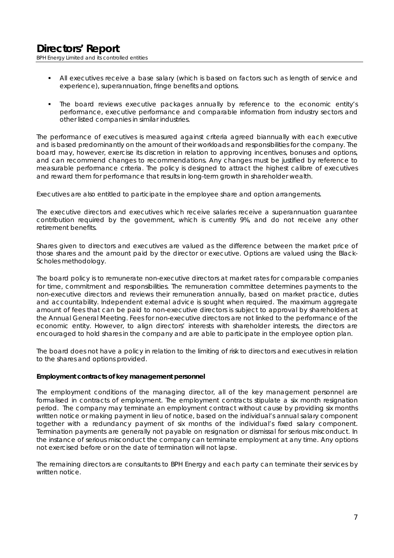BPH Energy Limited and its controlled entities

- All executives receive a base salary (which is based on factors such as length of service and experience), superannuation, fringe benefits and options.
- The board reviews executive packages annually by reference to the economic entity's performance, executive performance and comparable information from industry sectors and other listed companies in similar industries.

The performance of executives is measured against criteria agreed biannually with each executive and is based predominantly on the amount of their workloads and responsibilities for the company. The board may, however, exercise its discretion in relation to approving incentives, bonuses and options, and can recommend changes to recommendations. Any changes must be justified by reference to measurable performance criteria. The policy is designed to attract the highest calibre of executives and reward them for performance that results in long-term growth in shareholder wealth.

Executives are also entitled to participate in the employee share and option arrangements.

The executive directors and executives which receive salaries receive a superannuation guarantee contribution required by the government, which is currently 9%, and do not receive any other retirement benefits.

Shares given to directors and executives are valued as the difference between the market price of those shares and the amount paid by the director or executive. Options are valued using the Black-Scholes methodology.

The board policy is to remunerate non-executive directors at market rates for comparable companies for time, commitment and responsibilities. The remuneration committee determines payments to the non-executive directors and reviews their remuneration annually, based on market practice, duties and accountability. Independent external advice is sought when required. The maximum aggregate amount of fees that can be paid to non-executive directors is subject to approval by shareholders at the Annual General Meeting. Fees for non-executive directors are not linked to the performance of the economic entity. However, to align directors' interests with shareholder interests, the directors are encouraged to hold shares in the company and are able to participate in the employee option plan.

The board does not have a policy in relation to the limiting of risk to directors and executives in relation to the shares and options provided.

#### **Employment contracts of key management personnel**

The employment conditions of the managing director, all of the key management personnel are formalised in contracts of employment. The employment contracts stipulate a six month resignation period. The company may terminate an employment contract without cause by providing six months written notice or making payment in lieu of notice, based on the individual's annual salary component together with a redundancy payment of six months of the individual's fixed salary component. Termination payments are generally not payable on resignation or dismissal for serious misconduct. In the instance of serious misconduct the company can terminate employment at any time. Any options not exercised before or on the date of termination will not lapse.

The remaining directors are consultants to BPH Energy and each party can terminate their services by written notice.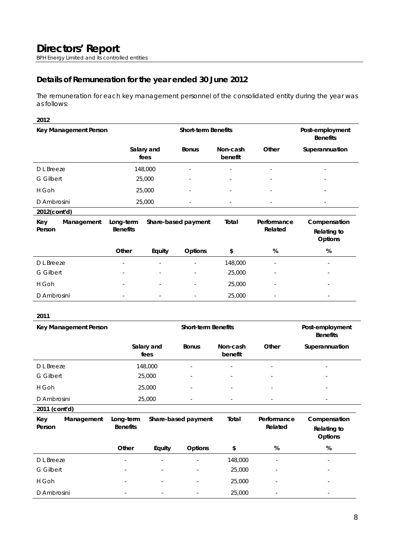### **Details of Remuneration for the year ended 30 June 2012**

The remuneration for each key management personnel of the consolidated entity during the year was as follows:

#### **2012**

| Key Management Person |                 |                    | Post-employment<br><b>Benefits</b> |                     |                              |                        |
|-----------------------|-----------------|--------------------|------------------------------------|---------------------|------------------------------|------------------------|
|                       |                 | Salary and<br>fees | <b>Bonus</b>                       | Non-cash<br>benefit | Other                        | Superannuation         |
| D L Breeze            |                 | 148,000            |                                    |                     | ٠                            |                        |
| G Gilbert             |                 | 25,000             |                                    | ٠                   | $\qquad \qquad \blacksquare$ |                        |
| H Goh                 |                 | 25,000             |                                    | ٠                   | $\overline{\phantom{a}}$     |                        |
| D Ambrosini           |                 | 25,000             |                                    | ٠                   | $\blacksquare$               |                        |
| 2012(cont'd)          |                 |                    |                                    |                     |                              |                        |
| Management<br>Key     | Long-term       |                    | Share-based payment                | Total               | Performance                  | Compensation           |
| Person                | <b>Benefits</b> |                    |                                    |                     | Related                      | Relating to<br>Options |
|                       | Other           | Equity             | Options                            | \$                  | %                            | %                      |
| D L Breeze            |                 | $\blacksquare$     |                                    | 148,000             |                              |                        |
| <b>G</b> Gilbert      |                 | $\overline{a}$     | $\overline{\phantom{a}}$           | 25,000              |                              |                        |
| H Goh                 |                 |                    | $\blacksquare$                     | 25,000              |                              |                        |

#### **2011**

| Key Management Person | <b>Short-term Benefits</b> |              |                          | Post-employment<br><b>Benefits</b> |                          |
|-----------------------|----------------------------|--------------|--------------------------|------------------------------------|--------------------------|
|                       | Salary and<br>fees         | <b>Bonus</b> | Non-cash<br>benefit      | Other                              | Superannuation           |
| D L Breeze            | 148,000                    | ٠            | $\sim$                   | $\overline{\phantom{a}}$           | $\overline{\phantom{a}}$ |
| G Gilbert             | 25,000                     | ٠            | $\sim$                   | $\overline{\phantom{a}}$           | $\overline{\phantom{a}}$ |
| H Goh                 | 25,000                     | ٠            | $\overline{\phantom{a}}$ | $\overline{\phantom{a}}$           | ٠                        |
| D Ambrosini           | 25,000                     | ٠.           | $\sim$                   | $\overline{\phantom{a}}$           | $\overline{\phantom{a}}$ |
| 2011 (cont'd)         |                            |              |                          |                                    |                          |

| Key<br>Person | Management | Long-term<br><b>Benefits</b> | Share-based payment      |                          | Total   | Performance<br>Related   | Compensation<br>Relating to<br><b>Options</b> |
|---------------|------------|------------------------------|--------------------------|--------------------------|---------|--------------------------|-----------------------------------------------|
|               |            | Other                        | Equity                   | <b>Options</b>           | \$      | %                        | %                                             |
| D L Breeze    |            | $\overline{\phantom{a}}$     | $\overline{\phantom{a}}$ | -                        | 148,000 | $\overline{\phantom{a}}$ | ۰                                             |
| G Gilbert     |            | $\overline{\phantom{a}}$     | $\sim$                   | $\overline{\phantom{a}}$ | 25,000  | $\sim$                   | $\sim$                                        |
| H Goh         |            | $\overline{\phantom{a}}$     | $\sim$                   | $\overline{\phantom{a}}$ | 25,000  | $\sim$                   | $\sim$                                        |
| D Ambrosini   |            | $\overline{\phantom{a}}$     | $\overline{\phantom{a}}$ | $\overline{\phantom{a}}$ | 25,000  | $\sim$                   | $\sim$                                        |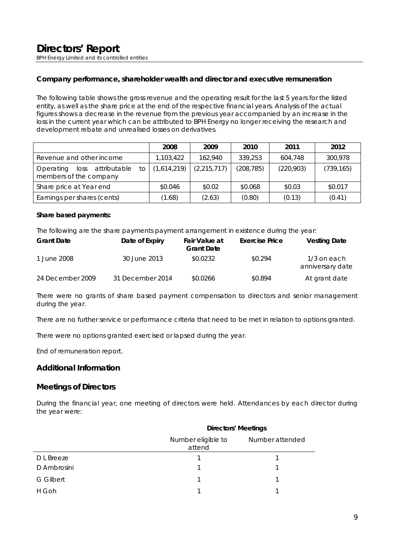#### **Company performance, shareholder wealth and director and executive remuneration**

The following table shows the gross revenue and the operating result for the last 5 years for the listed entity, as well as the share price at the end of the respective financial years. Analysis of the actual figures shows a decrease in the revenue from the previous year accompanied by an increase in the loss in the current year which can be attributed to BPH Energy no longer receiving the research and development rebate and unrealised losses on derivatives.

|                                                             | 2008           | 2009          | 2010       | 2011      | 2012       |
|-------------------------------------------------------------|----------------|---------------|------------|-----------|------------|
| Revenue and other income                                    | 1,103,422      | 162.940       | 339,253    | 604,748   | 300,978    |
| attributable<br>Operating<br>loss<br>members of the company | to (1,614,219) | (2, 215, 717) | (208, 785) | (220,903) | (739, 165) |
| Share price at Year end                                     | \$0.046        | \$0.02        | \$0.068    | \$0.03    | \$0.017    |
| Earnings per shares (cents)                                 | (1.68)         | (2.63)        | (0.80)     | (0.13)    | (0.41)     |

#### **Share based payments:**

The following are the share payments payment arrangement in existence during the year:

| <b>Grant Date</b> | Date of Expiry   | Fair Value at<br><b>Grant Date</b> | <b>Exercise Price</b> | <b>Vesting Date</b>               |
|-------------------|------------------|------------------------------------|-----------------------|-----------------------------------|
| 1 June 2008       | 30 June 2013     | \$0.0232                           | \$0.294               | $1/3$ on each<br>anniversary date |
| 24 December 2009  | 31 December 2014 | \$0.0266                           | \$0.894               | At grant date                     |

There were no grants of share based payment compensation to directors and senior management during the year.

There are no further service or performance criteria that need to be met in relation to options granted.

There were no options granted exercised or lapsed during the year.

End of remuneration report.

#### **Additional Information**

#### **Meetings of Directors**

During the financial year, one meeting of directors were held. Attendances by each director during the year were:

|             | <b>Directors' Meetings</b>   |                 |  |
|-------------|------------------------------|-----------------|--|
|             | Number eligible to<br>attend | Number attended |  |
| D L Breeze  |                              |                 |  |
| D Ambrosini |                              |                 |  |
| G Gilbert   |                              |                 |  |
| H Goh       |                              |                 |  |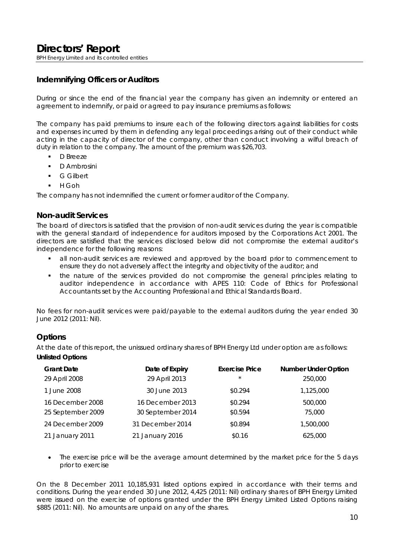#### **Indemnifying Officers or Auditors**

During or since the end of the financial year the company has given an indemnity or entered an agreement to indemnify, or paid or agreed to pay insurance premiums as follows:

The company has paid premiums to insure each of the following directors against liabilities for costs and expenses incurred by them in defending any legal proceedings arising out of their conduct while acting in the capacity of director of the company, other than conduct involving a wilful breach of duty in relation to the company. The amount of the premium was \$26,703.

- D Breeze
- D Ambrosini
- **G** Gilbert
- H Goh

The company has not indemnified the current or former auditor of the Company.

#### **Non-audit Services**

The board of directors is satisfied that the provision of non-audit services during the year is compatible with the general standard of independence for auditors imposed by the *Corporations Act 2001*. The directors are satisfied that the services disclosed below did not compromise the external auditor's independence for the following reasons:

- all non-audit services are reviewed and approved by the board prior to commencement to ensure they do not adversely affect the integrity and objectivity of the auditor; and
- the nature of the services provided do not compromise the general principles relating to auditor independence in accordance with APES 110: Code of Ethics for Professional Accountants set by the Accounting Professional and Ethical Standards Board.

No fees for non-audit services were paid/payable to the external auditors during the year ended 30 June 2012 (2011: Nil).

#### **Options**

At the date of this report, the unissued ordinary shares of BPH Energy Ltd under option are as follows: **Unlisted Options** 

| <b>Grant Date</b> | Date of Expiry    | <b>Exercise Price</b> | <b>Number Under Option</b> |
|-------------------|-------------------|-----------------------|----------------------------|
| 29 April 2008     | 29 April 2013     | $\star$               | 250,000                    |
| 1 June 2008       | 30 June 2013      | \$0.294               | 1,125,000                  |
| 16 December 2008  | 16 December 2013  | \$0.294               | 500,000                    |
| 25 September 2009 | 30 September 2014 | \$0.594               | 75,000                     |
| 24 December 2009  | 31 December 2014  | \$0.894               | 1,500,000                  |
| 21 January 2011   | 21 January 2016   | \$0.16                | 625,000                    |

 The exercise price will be the average amount determined by the market price for the 5 days prior to exercise

On the 8 December 2011 10,185,931 listed options expired in accordance with their terms and conditions. During the year ended 30 June 2012, 4,425 (2011: Nil) ordinary shares of BPH Energy Limited were issued on the exercise of options granted under the BPH Energy Limited Listed Options raising \$885 (2011: Nil). No amounts are unpaid on any of the shares.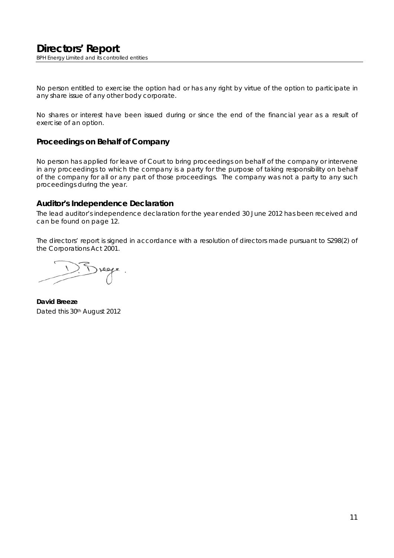No person entitled to exercise the option had or has any right by virtue of the option to participate in any share issue of any other body corporate.

No shares or interest have been issued during or since the end of the financial year as a result of exercise of an option.

#### **Proceedings on Behalf of Company**

No person has applied for leave of Court to bring proceedings on behalf of the company or intervene in any proceedings to which the company is a party for the purpose of taking responsibility on behalf of the company for all or any part of those proceedings. The company was not a party to any such proceedings during the year.

#### **Auditor's Independence Declaration**

The lead auditor's independence declaration for the year ended 30 June 2012 has been received and can be found on page 12.

The directors' report is signed in accordance with a resolution of directors made pursuant to S298(2) of the Corporations Act 2001.

**David Breeze**  Dated this 30th August 2012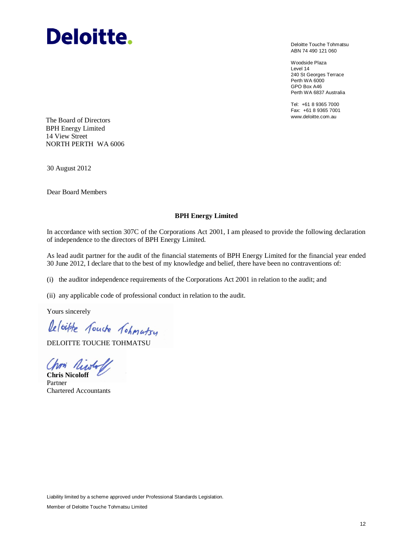# **Deloitte.**

Deloitte Touche Tohmatsu ABN 74 490 121 060

Woodside Plaza Level 14 240 St Georges Terrace Perth WA 6000 GPO Box A46 Perth WA 6837 Australia

Tel: +61 8 9365 7000 Fax: +61 8 9365 7001

www.deloitte.com.au The Board of Directors BPH Energy Limited 14 View Street NORTH PERTH WA 6006

30 August 2012

Dear Board Members

#### **BPH Energy Limited**

In accordance with section 307C of the Corporations Act 2001, I am pleased to provide the following declaration of independence to the directors of BPH Energy Limited.

As lead audit partner for the audit of the financial statements of BPH Energy Limited for the financial year ended 30 June 2012, I declare that to the best of my knowledge and belief, there have been no contraventions of:

(i) the auditor independence requirements of the Corporations Act 2001 in relation to the audit; and

(ii) any applicable code of professional conduct in relation to the audit.

Yours sincerely

Deloitte fourte fohmatsy

DELOITTE TOUCHE TOHMATSU

Chris Niestoff **Chris Nicoloff**

Partner Chartered Accountants

Liability limited by a scheme approved under Professional Standards Legislation. Member of Deloitte Touche Tohmatsu Limited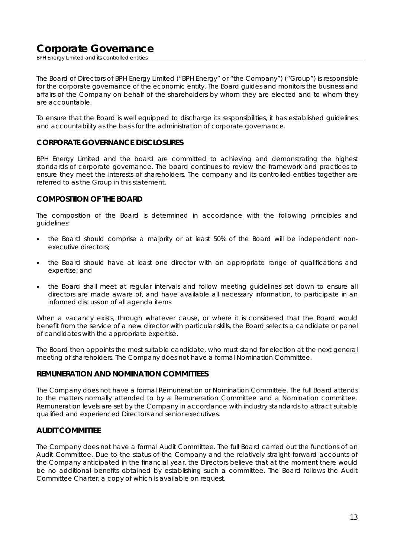BPH Energy Limited and its controlled entities

The Board of Directors of BPH Energy Limited ("BPH Energy" or "the Company") ("Group") is responsible for the corporate governance of the economic entity. The Board guides and monitors the business and affairs of the Company on behalf of the shareholders by whom they are elected and to whom they are accountable.

To ensure that the Board is well equipped to discharge its responsibilities, it has established guidelines and accountability as the basis for the administration of corporate governance.

#### **CORPORATE GOVERNANCE DISCLOSURES**

BPH Energy Limited and the board are committed to achieving and demonstrating the highest standards of corporate governance. The board continues to review the framework and practices to ensure they meet the interests of shareholders. The company and its controlled entities together are referred to as the Group in this statement.

#### **COMPOSITION OF THE BOARD**

The composition of the Board is determined in accordance with the following principles and guidelines:

- the Board should comprise a majority or at least 50% of the Board will be independent nonexecutive directors;
- the Board should have at least one director with an appropriate range of qualifications and expertise; and
- the Board shall meet at regular intervals and follow meeting guidelines set down to ensure all directors are made aware of, and have available all necessary information, to participate in an informed discussion of all agenda items.

When a vacancy exists, through whatever cause, or where it is considered that the Board would benefit from the service of a new director with particular skills, the Board selects a candidate or panel of candidates with the appropriate expertise.

The Board then appoints the most suitable candidate, who must stand for election at the next general meeting of shareholders. The Company does not have a formal Nomination Committee.

#### **REMUNERATION AND NOMINATION COMMITTEES**

The Company does not have a formal Remuneration or Nomination Committee. The full Board attends to the matters normally attended to by a Remuneration Committee and a Nomination committee. Remuneration levels are set by the Company in accordance with industry standards to attract suitable qualified and experienced Directors and senior executives.

#### **AUDIT COMMITTEE**

The Company does not have a formal Audit Committee. The full Board carried out the functions of an Audit Committee. Due to the status of the Company and the relatively straight forward accounts of the Company anticipated in the financial year, the Directors believe that at the moment there would be no additional benefits obtained by establishing such a committee. The Board follows the Audit Committee Charter, a copy of which is available on request.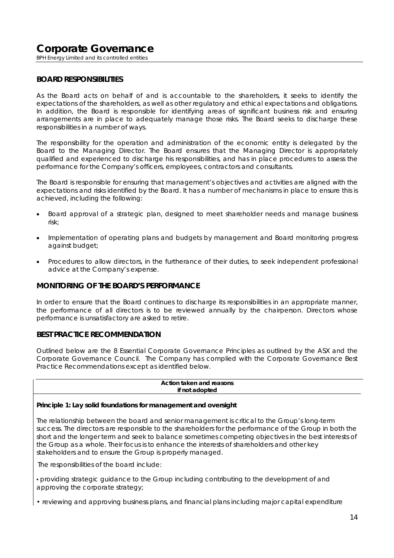BPH Energy Limited and its controlled entities

#### **BOARD RESPONSIBILITIES**

As the Board acts on behalf of and is accountable to the shareholders, it seeks to identify the expectations of the shareholders, as well as other regulatory and ethical expectations and obligations. In addition, the Board is responsible for identifying areas of significant business risk and ensuring arrangements are in place to adequately manage those risks. The Board seeks to discharge these responsibilities in a number of ways.

The responsibility for the operation and administration of the economic entity is delegated by the Board to the Managing Director. The Board ensures that the Managing Director is appropriately qualified and experienced to discharge his responsibilities, and has in place procedures to assess the performance for the Company's officers, employees, contractors and consultants.

The Board is responsible for ensuring that management's objectives and activities are aligned with the expectations and risks identified by the Board. It has a number of mechanisms in place to ensure this is achieved, including the following:

- Board approval of a strategic plan, designed to meet shareholder needs and manage business risk;
- Implementation of operating plans and budgets by management and Board monitoring progress against budget;
- Procedures to allow directors, in the furtherance of their duties, to seek independent professional advice at the Company's expense.

#### **MONITORING OF THE BOARD'S PERFORMANCE**

In order to ensure that the Board continues to discharge its responsibilities in an appropriate manner, the performance of all directors is to be reviewed annually by the chairperson. Directors whose performance is unsatisfactory are asked to retire.

#### **BEST PRACTICE RECOMMENDATION**

Outlined below are the 8 Essential Corporate Governance Principles as outlined by the ASX and the Corporate Governance Council. The Company has complied with the Corporate Governance Best Practice Recommendations except as identified below.

| Action taken and reasons |  |
|--------------------------|--|
| if not adopted           |  |
|                          |  |

#### **Principle 1: Lay solid foundations for management and oversight**

The relationship between the board and senior management is critical to the Group's long-term success. The directors are responsible to the shareholders for the performance of the Group in both the short and the longer term and seek to balance sometimes competing objectives in the best interests of the Group as a whole. Their focus is to enhance the interests of shareholders and other key stakeholders and to ensure the Group is properly managed.

The responsibilities of the board include:

• providing strategic guidance to the Group including contributing to the development of and approving the corporate strategy;

• reviewing and approving business plans, and financial plans including major capital expenditure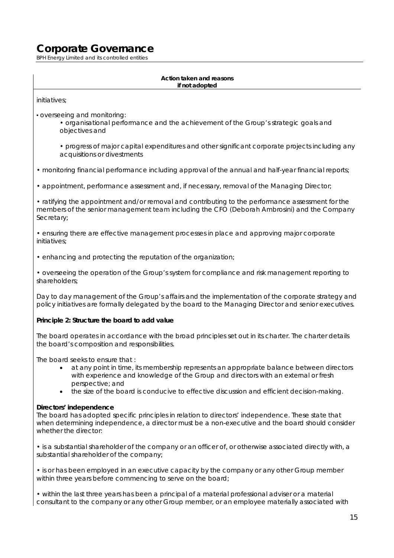BPH Energy Limited and its controlled entities

#### **Action taken and reasons if not adopted**

initiatives;

• overseeing and monitoring:

• organisational performance and the achievement of the Group's strategic goals and objectives and

• progress of major capital expenditures and other significant corporate projects including any acquisitions or divestments

• monitoring financial performance including approval of the annual and half-year financial reports;

• appointment, performance assessment and, if necessary, removal of the Managing Director;

• ratifying the appointment and/or removal and contributing to the performance assessment for the members of the senior management team including the CFO (Deborah Ambrosini) and the Company Secretary;

• ensuring there are effective management processes in place and approving major corporate initiatives;

• enhancing and protecting the reputation of the organization;

• overseeing the operation of the Group's system for compliance and risk management reporting to shareholders;

Day to day management of the Group's affairs and the implementation of the corporate strategy and policy initiatives are formally delegated by the board to the Managing Director and senior executives.

#### **Principle 2: Structure the board to add value**

The board operates in accordance with the broad principles set out in its charter. The charter details the board's composition and responsibilities.

The board seeks to ensure that :

- at any point in time, its membership represents an appropriate balance between directors with experience and knowledge of the Group and directors with an external or fresh perspective; and
- the size of the board is conducive to effective discussion and efficient decision-making.

#### **Directors' independence**

The board has adopted specific principles in relation to directors' independence. These state that when determining independence, a director must be a non-executive and the board should consider whether the director:

• is a substantial shareholder of the company or an officer of, or otherwise associated directly with, a substantial shareholder of the company;

• is or has been employed in an executive capacity by the company or any other Group member within three years before commencing to serve on the board;

• within the last three years has been a principal of a material professional adviser or a material consultant to the company or any other Group member, or an employee materially associated with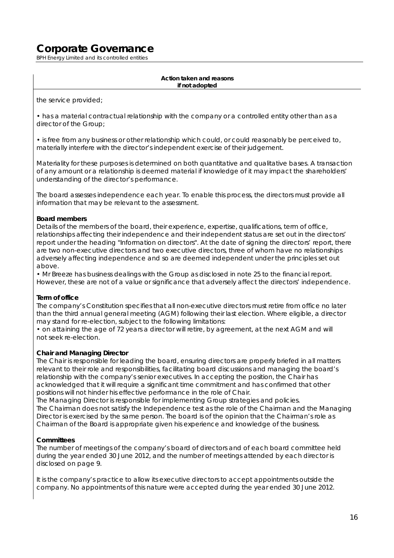BPH Energy Limited and its controlled entities

#### **Action taken and reasons if not adopted**

the service provided;

• has a material contractual relationship with the company or a controlled entity other than as a director of the Group;

• is free from any business or other relationship which could, or could reasonably be perceived to, materially interfere with the director's independent exercise of their judgement.

Materiality for these purposes is determined on both quantitative and qualitative bases. A transaction of any amount or a relationship is deemed material if knowledge of it may impact the shareholders' understanding of the director's performance.

The board assesses independence each year. To enable this process, the directors must provide all information that may be relevant to the assessment.

#### **Board members**

Details of the members of the board, their experience, expertise, qualifications, term of office, relationships affecting their independence and their independent status are set out in the directors' report under the heading ''Information on directors''. At the date of signing the directors' report, there are two non-executive directors and two executive directors, three of whom have no relationships adversely affecting independence and so are deemed independent under the principles set out above.

• Mr Breeze has business dealings with the Group as disclosed in note 25 to the financial report. However, these are not of a value or significance that adversely affect the directors' independence.

#### **Term of office**

The company's Constitution specifies that all non-executive directors must retire from office no later than the third annual general meeting (AGM) following their last election. Where eligible, a director may stand for re-election, subject to the following limitations:

• on attaining the age of 72 years a director will retire, by agreement, at the next AGM and will not seek re-election.

#### **Chair and Managing Director**

The Chair is responsible for leading the board, ensuring directors are properly briefed in all matters relevant to their role and responsibilities, facilitating board discussions and managing the board's relationship with the company's senior executives. In accepting the position, the Chair has acknowledged that it will require a significant time commitment and has confirmed that other positions will not hinder his effective performance in the role of Chair.

The Managing Director is responsible for implementing Group strategies and policies. The Chairman does not satisfy the Independence test as the role of the Chairman and the Managing Director is exercised by the same person. The board is of the opinion that the Chairman's role as Chairman of the Board is appropriate given his experience and knowledge of the business.

#### **Committees**

The number of meetings of the company's board of directors and of each board committee held during the year ended 30 June 2012, and the number of meetings attended by each director is disclosed on page 9.

It is the company's practice to allow its executive directors to accept appointments outside the company. No appointments of this nature were accepted during the year ended 30 June 2012.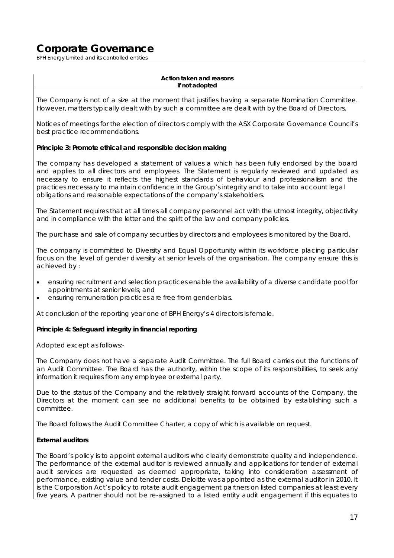BPH Energy Limited and its controlled entities

#### **Action taken and reasons if not adopted**

The Company is not of a size at the moment that justifies having a separate Nomination Committee. However, matters typically dealt with by such a committee are dealt with by the Board of Directors.

Notices of meetings for the election of directors comply with the ASX Corporate Governance Council's best practice recommendations.

#### **Principle 3: Promote ethical and responsible decision making**

The company has developed a statement of values a which has been fully endorsed by the board and applies to all directors and employees. The Statement is regularly reviewed and updated as necessary to ensure it reflects the highest standards of behaviour and professionalism and the practices necessary to maintain confidence in the Group's integrity and to take into account legal obligations and reasonable expectations of the company's stakeholders.

The Statement requires that at all times all company personnel act with the utmost integrity, objectivity and in compliance with the letter and the spirit of the law and company policies.

The purchase and sale of company securities by directors and employees is monitored by the Board.

The company is committed to Diversity and Equal Opportunity within its workforce placing particular focus on the level of gender diversity at senior levels of the organisation. The company ensure this is achieved by :

- ensuring recruitment and selection practices enable the availability of a diverse candidate pool for appointments at senior levels; and
- ensuring remuneration practices are free from gender bias.

At conclusion of the reporting year one of BPH Energy's 4 directors is female.

#### **Principle 4: Safeguard integrity in financial reporting**

Adopted except as follows:-

The Company does not have a separate Audit Committee. The full Board carries out the functions of an Audit Committee. The Board has the authority, within the scope of its responsibilities, to seek any information it requires from any employee or external party.

Due to the status of the Company and the relatively straight forward accounts of the Company, the Directors at the moment can see no additional benefits to be obtained by establishing such a committee.

The Board follows the Audit Committee Charter, a copy of which is available on request.

#### **External auditors**

The Board's policy is to appoint external auditors who clearly demonstrate quality and independence. The performance of the external auditor is reviewed annually and applications for tender of external audit services are requested as deemed appropriate, taking into consideration assessment of performance, existing value and tender costs. Deloitte was appointed as the external auditor in 2010. It is the Corporation Act's policy to rotate audit engagement partners on listed companies at least every five years. A partner should not be re-assigned to a listed entity audit engagement if this equates to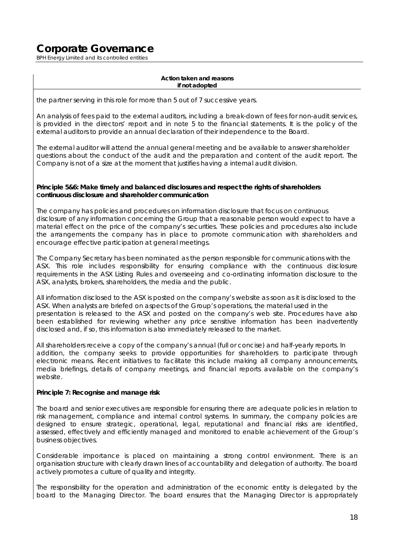BPH Energy Limited and its controlled entities

#### **Action taken and reasons if not adopted**

the partner serving in this role for more than 5 out of 7 successive years.

An analysis of fees paid to the external auditors, including a break-down of fees for non-audit services, is provided in the directors' report and in note 5 to the financial statements. It is the policy of the external auditors to provide an annual declaration of their independence to the Board.

The external auditor will attend the annual general meeting and be available to answer shareholder questions about the conduct of the audit and the preparation and content of the audit report. The Company is not of a size at the moment that justifies having a internal audit division.

#### **Principle 5&6: Make timely and balanced disclosures and respect the rights of shareholders Continuous disclosure and shareholder communication**

The company has policies and procedures on information disclosure that focus on continuous disclosure of any information concerning the Group that a reasonable person would expect to have a material effect on the price of the company's securities. These policies and procedures also include the arrangements the company has in place to promote communication with shareholders and encourage effective participation at general meetings.

The Company Secretary has been nominated as the person responsible for communications with the ASX. This role includes responsibility for ensuring compliance with the continuous disclosure requirements in the ASX Listing Rules and overseeing and co-ordinating information disclosure to the ASX, analysts, brokers, shareholders, the media and the public.

All information disclosed to the ASX is posted on the company's website as soon as it is disclosed to the ASX. When analysts are briefed on aspects of the Group's operations, the material used in the presentation is released to the ASX and posted on the company's web site. Procedures have also been established for reviewing whether any price sensitive information has been inadvertently disclosed and, if so, this information is also immediately released to the market.

All shareholders receive a copy of the company's annual (full or concise) and half-yearly reports. In addition, the company seeks to provide opportunities for shareholders to participate through electronic means. Recent initiatives to facilitate this include making all company announcements, media briefings, details of company meetings, and financial reports available on the company's website.

#### **Principle 7: Recognise and manage risk**

The board and senior executives are responsible for ensuring there are adequate policies in relation to risk management, compliance and internal control systems. In summary, the company policies are designed to ensure strategic, operational, legal, reputational and financial risks are identified, assessed, effectively and efficiently managed and monitored to enable achievement of the Group's business objectives.

Considerable importance is placed on maintaining a strong control environment. There is an organisation structure with clearly drawn lines of accountability and delegation of authority. The board actively promotes a culture of quality and integrity.

The responsibility for the operation and administration of the economic entity is delegated by the board to the Managing Director. The board ensures that the Managing Director is appropriately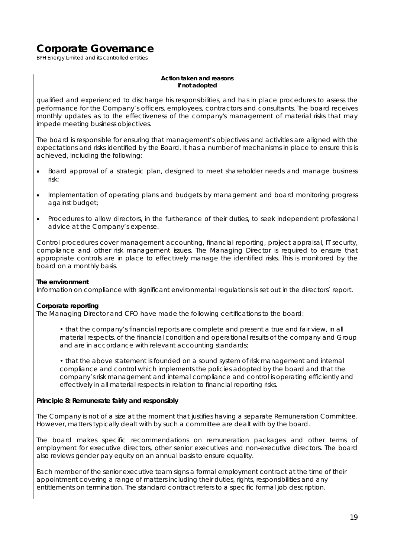BPH Energy Limited and its controlled entities

#### **Action taken and reasons if not adopted**

qualified and experienced to discharge his responsibilities, and has in place procedures to assess the performance for the Company's officers, employees, contractors and consultants. The board receives monthly updates as to the effectiveness of the company's management of material risks that may impede meeting business objectives.

The board is responsible for ensuring that management's objectives and activities are aligned with the expectations and risks identified by the Board. It has a number of mechanisms in place to ensure this is achieved, including the following:

- Board approval of a strategic plan, designed to meet shareholder needs and manage business risk;
- Implementation of operating plans and budgets by management and board monitoring progress against budget;
- Procedures to allow directors, in the furtherance of their duties, to seek independent professional advice at the Company's expense.

Control procedures cover management accounting, financial reporting, project appraisal, IT security, compliance and other risk management issues. The Managing Director is required to ensure that appropriate controls are in place to effectively manage the identified risks. This is monitored by the board on a monthly basis.

#### **The environment**

Information on compliance with significant environmental regulations is set out in the directors' report.

#### **Corporate reporting**

The Managing Director and CFO have made the following certifications to the board:

• that the company's financial reports are complete and present a true and fair view, in all material respects, of the financial condition and operational results of the company and Group and are in accordance with relevant accounting standards;

• that the above statement is founded on a sound system of risk management and internal compliance and control which implements the policies adopted by the board and that the company's risk management and internal compliance and control is operating efficiently and effectively in all material respects in relation to financial reporting risks.

#### **Principle 8: Remunerate fairly and responsibly**

The Company is not of a size at the moment that justifies having a separate Remuneration Committee. However, matters typically dealt with by such a committee are dealt with by the board.

The board makes specific recommendations on remuneration packages and other terms of employment for executive directors, other senior executives and non-executive directors. The board also reviews gender pay equity on an annual basis to ensure equality.

Each member of the senior executive team signs a formal employment contract at the time of their appointment covering a range of matters including their duties, rights, responsibilities and any entitlements on termination. The standard contract refers to a specific formal job description.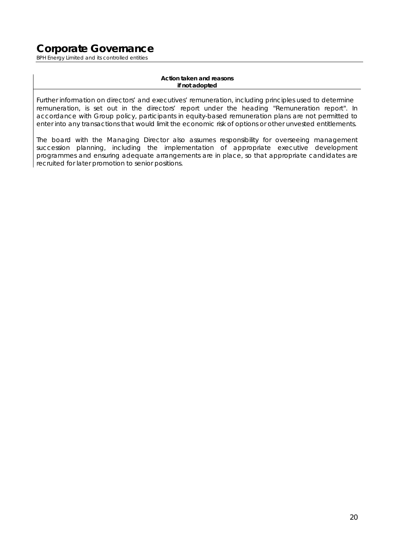BPH Energy Limited and its controlled entities

#### **Action taken and reasons if not adopted**

Further information on directors' and executives' remuneration, including principles used to determine remuneration, is set out in the directors' report under the heading ''Remuneration report''. In accordance with Group policy, participants in equity-based remuneration plans are not permitted to enter into any transactions that would limit the economic risk of options or other unvested entitlements.

The board with the Managing Director also assumes responsibility for overseeing management succession planning, including the implementation of appropriate executive development programmes and ensuring adequate arrangements are in place, so that appropriate candidates are recruited for later promotion to senior positions.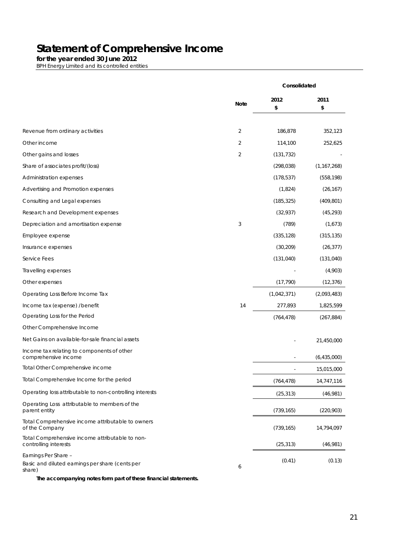### **Statement of Comprehensive Income**

**for the year ended 30 June 2012** 

BPH Energy Limited and its controlled entities

|                                                                                   |                | Consolidated |               |  |
|-----------------------------------------------------------------------------------|----------------|--------------|---------------|--|
|                                                                                   | <b>Note</b>    | 2012<br>\$   | 2011<br>\$    |  |
|                                                                                   | $\overline{2}$ | 186,878      |               |  |
| Revenue from ordinary activities                                                  |                |              | 352,123       |  |
| Other income                                                                      | 2              | 114,100      | 252,625       |  |
| Other gains and losses                                                            | 2              | (131, 732)   |               |  |
| Share of associates profit/(loss)                                                 |                | (298, 038)   | (1, 167, 268) |  |
| Administration expenses                                                           |                | (178, 537)   | (558, 198)    |  |
| Advertising and Promotion expenses                                                |                | (1,824)      | (26, 167)     |  |
| Consulting and Legal expenses                                                     |                | (185, 325)   | (409, 801)    |  |
| Research and Development expenses                                                 |                | (32,937)     | (45, 293)     |  |
| Depreciation and amortisation expense                                             | 3              | (789)        | (1,673)       |  |
| Employee expense                                                                  |                | (335, 128)   | (315, 135)    |  |
| Insurance expenses                                                                |                | (30, 209)    | (26, 377)     |  |
| Service Fees                                                                      |                | (131, 040)   | (131, 040)    |  |
| Travelling expenses                                                               |                |              | (4,903)       |  |
| Other expenses                                                                    |                | (17, 790)    | (12, 376)     |  |
| Operating Loss Before Income Tax                                                  |                | (1,042,371)  | (2,093,483)   |  |
| Income tax (expense) /benefit                                                     | 14             | 277,893      | 1,825,599     |  |
| Operating Loss for the Period                                                     |                | (764, 478)   | (267, 884)    |  |
| Other Comprehensive Income                                                        |                |              |               |  |
| Net Gains on available-for-sale financial assets                                  |                |              | 21,450,000    |  |
| Income tax relating to components of other<br>comprehensive income                |                |              | (6,435,000)   |  |
| Total Other Comprehensive income                                                  |                |              | 15,015,000    |  |
| Total Comprehensive Income for the period                                         |                | (764, 478)   | 14,747,116    |  |
| Operating loss attributable to non-controlling interests                          |                | (25, 313)    | (46,981)      |  |
| Operating Loss attributable to members of the<br>parent entity                    |                | (739, 165)   | (220,903)     |  |
| Total Comprehensive income attributable to owners<br>of the Company               |                | (739, 165)   | 14,794,097    |  |
| Total Comprehensive income attributable to non-<br>controlling interests          |                | (25, 313)    | (46,981)      |  |
| Earnings Per Share -<br>Basic and diluted earnings per share (cents per<br>share) | 6              | (0.41)       | (0.13)        |  |

**The accompanying notes form part of these financial statements.**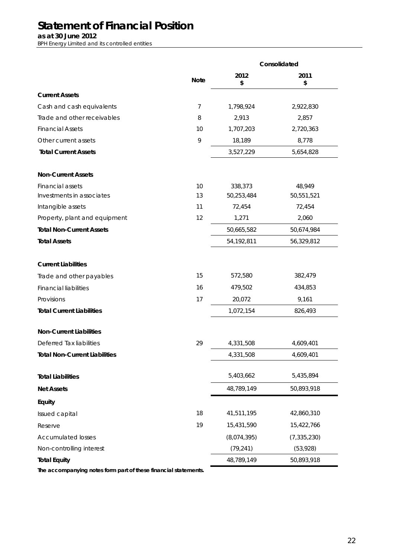### **Statement of Financial Position**

**as at 30 June 2012** 

BPH Energy Limited and its controlled entities

|                                      |             | Consolidated |               |  |
|--------------------------------------|-------------|--------------|---------------|--|
|                                      | <b>Note</b> | 2012<br>\$   | 2011<br>\$    |  |
| <b>Current Assets</b>                |             |              |               |  |
| Cash and cash equivalents            | 7           | 1,798,924    | 2,922,830     |  |
| Trade and other receivables          | 8           | 2,913        | 2,857         |  |
| <b>Financial Assets</b>              | 10          | 1,707,203    | 2,720,363     |  |
| Other current assets                 | 9           | 18,189       | 8,778         |  |
| <b>Total Current Assets</b>          |             | 3,527,229    | 5,654,828     |  |
| <b>Non-Current Assets</b>            |             |              |               |  |
| <b>Financial assets</b>              | 10          | 338,373      | 48,949        |  |
| Investments in associates            | 13          | 50,253,484   | 50,551,521    |  |
| Intangible assets                    | 11          | 72,454       | 72,454        |  |
| Property, plant and equipment        | 12          | 1,271        | 2,060         |  |
| <b>Total Non-Current Assets</b>      |             | 50,665,582   | 50,674,984    |  |
| <b>Total Assets</b>                  |             | 54,192,811   | 56,329,812    |  |
| <b>Current Liabilities</b>           |             |              |               |  |
| Trade and other payables             | 15          | 572,580      | 382,479       |  |
| <b>Financial liabilities</b>         | 16          | 479,502      | 434,853       |  |
| Provisions                           | 17          | 20,072       | 9,161         |  |
| <b>Total Current Liabilities</b>     |             | 1,072,154    | 826,493       |  |
| <b>Non-Current Liabilities</b>       |             |              |               |  |
| Deferred Tax liabilities             | 29          | 4,331,508    | 4,609,401     |  |
| <b>Total Non-Current Liabilities</b> |             | 4,331,508    | 4,609,401     |  |
| <b>Total Liabilities</b>             |             | 5,403,662    | 5,435,894     |  |
| <b>Net Assets</b>                    |             | 48,789,149   | 50,893,918    |  |
| Equity                               |             |              |               |  |
| Issued capital                       | 18          | 41,511,195   | 42,860,310    |  |
| Reserve                              | 19          | 15,431,590   | 15,422,766    |  |
| <b>Accumulated losses</b>            |             | (8,074,395)  | (7, 335, 230) |  |
| Non-controlling interest             |             | (79, 241)    | (53, 928)     |  |
| <b>Total Equity</b>                  |             | 48,789,149   | 50,893,918    |  |

**The accompanying notes form part of these financial statements.**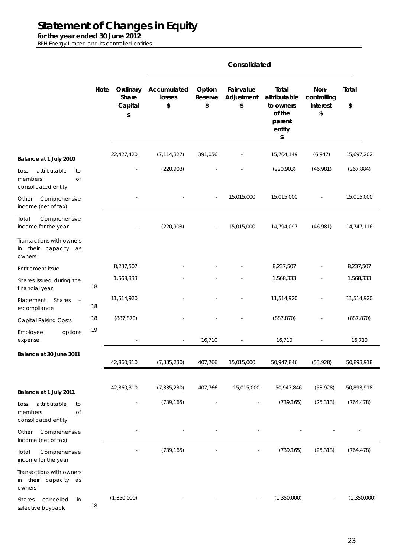### **Statement of Changes in Equity**

**for the year ended 30 June 2012** 

BPH Energy Limited and its controlled entities

|                                                                    |                                                   |             | Consolidated                |                         |                                |                                                                        |                                       |             |
|--------------------------------------------------------------------|---------------------------------------------------|-------------|-----------------------------|-------------------------|--------------------------------|------------------------------------------------------------------------|---------------------------------------|-------------|
|                                                                    | <b>Note</b><br>Ordinary<br>Share<br>Capital<br>\$ |             | Accumulated<br>losses<br>\$ | Option<br>Reserve<br>\$ | Fair value<br>Adjustment<br>\$ | Total<br>attributable<br>to owners<br>of the<br>parent<br>entity<br>\$ | Non-<br>controlling<br>Interest<br>\$ | Total<br>\$ |
| Balance at 1 July 2010                                             |                                                   | 22,427,420  | (7, 114, 327)               | 391,056                 |                                | 15,704,149                                                             | (6, 947)                              | 15,697,202  |
| attributable<br>to<br>Loss<br>of<br>members<br>consolidated entity |                                                   |             | (220,903)                   |                         |                                | (220,903)                                                              | (46,981)                              | (267, 884)  |
| Comprehensive<br>Other<br>income (net of tax)                      |                                                   |             |                             | $\bar{\phantom{a}}$     | 15,015,000                     | 15,015,000                                                             |                                       | 15,015,000  |
| Comprehensive<br>Total<br>income for the year                      |                                                   |             | (220, 903)                  |                         | 15,015,000                     | 14,794,097                                                             | (46,981)                              | 14,747,116  |
| Transactions with owners<br>in their<br>capacity as<br>owners      |                                                   |             |                             |                         |                                |                                                                        |                                       |             |
| Entitlement issue                                                  |                                                   | 8,237,507   |                             |                         |                                | 8,237,507                                                              | $\overline{\phantom{a}}$              | 8,237,507   |
| Shares issued during the<br>financial year                         | 18                                                | 1,568,333   |                             |                         |                                | 1,568,333                                                              | $\overline{\phantom{a}}$              | 1,568,333   |
| Placement<br>Shares<br>$\overline{\phantom{a}}$<br>recompliance    | 18                                                | 11,514,920  |                             |                         |                                | 11,514,920                                                             |                                       | 11,514,920  |
| Capital Raising Costs                                              | $18$                                              | (887, 870)  |                             |                         |                                | (887, 870)                                                             |                                       | (887, 870)  |
| Employee<br>options<br>expense                                     | 19                                                |             | $\blacksquare$              | 16,710                  |                                | 16,710                                                                 |                                       | 16,710      |
| Balance at 30 June 2011                                            |                                                   | 42,860,310  | (7, 335, 230)               | 407,766                 | 15,015,000                     | 50,947,846                                                             | (53, 928)                             | 50,893,918  |
| Balance at 1 July 2011                                             |                                                   | 42,860,310  | (7, 335, 230)               | 407,766                 | 15,015,000                     | 50,947,846                                                             | (53,928)                              | 50,893,918  |
| attributable<br>Loss<br>to<br>of<br>members<br>consolidated entity |                                                   |             | (739, 165)                  |                         |                                | (739, 165)                                                             | (25, 313)                             | (764, 478)  |
| Comprehensive<br>Other<br>income (net of tax)                      |                                                   |             |                             |                         |                                |                                                                        |                                       |             |
| Comprehensive<br>Total<br>income for the year                      |                                                   |             | (739, 165)                  |                         |                                | (739, 165)                                                             | (25, 313)                             | (764, 478)  |
| Transactions with owners<br>in their<br>capacity as<br>owners      |                                                   |             |                             |                         |                                |                                                                        |                                       |             |
| Shares<br>cancelled<br>in<br>selective buyback                     | 18                                                | (1,350,000) |                             |                         |                                | (1,350,000)                                                            |                                       | (1,350,000) |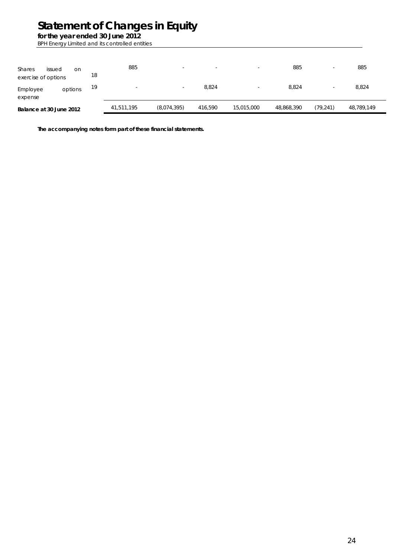### **Statement of Changes in Equity**

**for the year ended 30 June 2012**  BPH Energy Limited and its controlled entities

| <b>Shares</b><br>issued<br>exercise of options | <b>on</b><br>18 | 885                      | $\overline{\phantom{a}}$ | $\overline{\phantom{0}}$ | $\overline{\phantom{a}}$ | 885        |                          | 885        |
|------------------------------------------------|-----------------|--------------------------|--------------------------|--------------------------|--------------------------|------------|--------------------------|------------|
| options<br>Employee<br>expense                 | 19              | $\overline{\phantom{0}}$ | $\overline{\phantom{0}}$ | 8,824                    | -                        | 8,824      | $\overline{\phantom{0}}$ | 8,824      |
| Balance at 30 June 2012                        |                 | 41,511,195               | (8,074,395)              | 416,590                  | 15,015,000               | 48,868,390 | (79, 241)                | 48,789,149 |

**The accompanying notes form part of these financial statements.**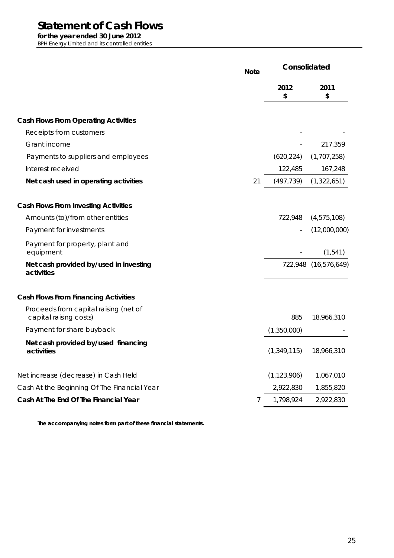### **Statement of Cash Flows**

**for the year ended 30 June 2012**  BPH Energy Limited and its controlled entities

 **Note Consolidated 2012 \$ 2011 \$**  *Cash Flows From Operating Activities* Receipts from customers Grant income  $\sim$  217,359 Payments to suppliers and employees (620,224) (1,707,258) Interest received 122,485 167,248 **Net cash used in operating activities** 21 (497,739) (1,322,651) *Cash Flows From Investing Activities* Amounts (to)/from other entities 722,948 (4,575,108) Payment for investments (12,000,000) Payment for property, plant and equipment (1,541) (1,541) **Net cash provided by/used in investing activities**  722,948 (16,576,649) *Cash Flows From Financing Activities*  Proceeds from capital raising (net of capital raising costs) 885 18,966,310 Payment for share buyback (1,350,000) **Net cash provided by/used financing activities** (1,349,115) 18,966,310 *Net increase (decrease) in Cash Held* (1,123,906) 1,067,010 *Cash At the Beginning Of The Financial Year* 2,922,830 1,855,820 *Cash At The End Of The Financial Year* 7 1,798,924 2,922,830

**The accompanying notes form part of these financial statements.**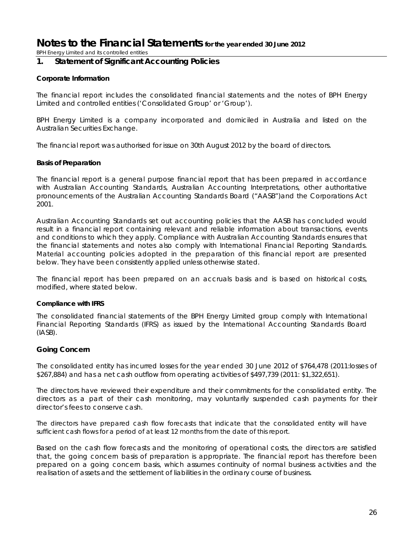BPH Energy Limited and its controlled entities

#### **1. Statement of Significant Accounting Policies**

#### **Corporate Information**

The financial report includes the consolidated financial statements and the notes of BPH Energy Limited and controlled entities ('Consolidated Group' or 'Group').

BPH Energy Limited is a company incorporated and domiciled in Australia and listed on the Australian Securities Exchange.

The financial report was authorised for issue on 30th August 2012 by the board of directors.

#### **Basis of Preparation**

The financial report is a general purpose financial report that has been prepared in accordance with Australian Accounting Standards, Australian Accounting Interpretations, other authoritative pronouncements of the Australian Accounting Standards Board ("AASB")and the Corporations Act 2001.

Australian Accounting Standards set out accounting policies that the AASB has concluded would result in a financial report containing relevant and reliable information about transactions, events and conditions to which they apply. Compliance with Australian Accounting Standards ensures that the financial statements and notes also comply with International Financial Reporting Standards. Material accounting policies adopted in the preparation of this financial report are presented below. They have been consistently applied unless otherwise stated.

The financial report has been prepared on an accruals basis and is based on historical costs, modified, where stated below.

#### **Compliance with IFRS**

The consolidated financial statements of the BPH Energy Limited group comply with International Financial Reporting Standards (IFRS) as issued by the International Accounting Standards Board (IASB).

#### **Going Concern**

The consolidated entity has incurred losses for the year ended 30 June 2012 of \$764,478 (2011:losses of \$267,884) and has a net cash outflow from operating activities of \$497,739 (2011: \$1,322,651).

The directors have reviewed their expenditure and their commitments for the consolidated entity. The directors as a part of their cash monitoring, may voluntarily suspended cash payments for their director's fees to conserve cash.

The directors have prepared cash flow forecasts that indicate that the consolidated entity will have sufficient cash flows for a period of at least 12 months from the date of this report.

Based on the cash flow forecasts and the monitoring of operational costs, the directors are satisfied that, the going concern basis of preparation is appropriate. The financial report has therefore been prepared on a going concern basis, which assumes continuity of normal business activities and the realisation of assets and the settlement of liabilities in the ordinary course of business.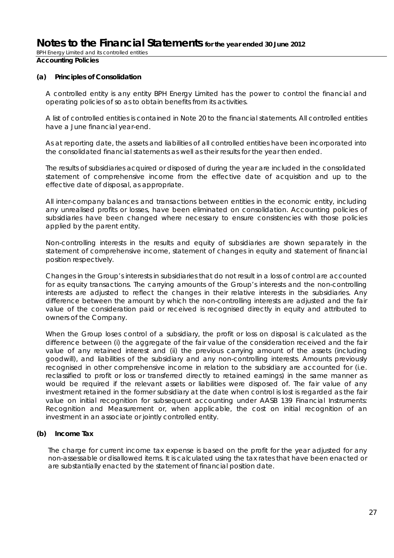BPH Energy Limited and its controlled entities

#### **Accounting Policies**

#### **(a) Principles of Consolidation**

 A controlled entity is any entity BPH Energy Limited has the power to control the financial and operating policies of so as to obtain benefits from its activities.

 A list of controlled entities is contained in Note 20 to the financial statements. All controlled entities have a June financial year-end.

 As at reporting date, the assets and liabilities of all controlled entities have been incorporated into the consolidated financial statements as well as their results for the year then ended.

The results of subsidiaries acquired or disposed of during the year are included in the consolidated statement of comprehensive income from the effective date of acquisition and up to the effective date of disposal, as appropriate.

All inter-company balances and transactions between entities in the economic entity, including any unrealised profits or losses, have been eliminated on consolidation. Accounting policies of subsidiaries have been changed where necessary to ensure consistencies with those policies applied by the parent entity.

Non-controlling interests in the results and equity of subsidiaries are shown separately in the statement of comprehensive income, statement of changes in equity and statement of financial position respectively.

Changes in the Group's interests in subsidiaries that do not result in a loss of control are accounted for as equity transactions. The carrying amounts of the Group's interests and the non-controlling interests are adjusted to reflect the changes in their relative interests in the subsidiaries. Any difference between the amount by which the non-controlling interests are adjusted and the fair value of the consideration paid or received is recognised directly in equity and attributed to owners of the Company.

When the Group loses control of a subsidiary, the profit or loss on disposal is calculated as the difference between (i) the aggregate of the fair value of the consideration received and the fair value of any retained interest and (ii) the previous carrying amount of the assets (including goodwill), and liabilities of the subsidiary and any non-controlling interests. Amounts previously recognised in other comprehensive income in relation to the subsidiary are accounted for (i.e. reclassified to profit or loss or transferred directly to retained earnings) in the same manner as would be required if the relevant assets or liabilities were disposed of. The fair value of any investment retained in the former subsidiary at the date when control is lost is regarded as the fair value on initial recognition for subsequent accounting under AASB 139 Financial Instruments: Recognition and Measurement or, when applicable, the cost on initial recognition of an investment in an associate or jointly controlled entity.

#### **(b) Income Tax**

The charge for current income tax expense is based on the profit for the year adjusted for any non-assessable or disallowed items. It is calculated using the tax rates that have been enacted or are substantially enacted by the statement of financial position date.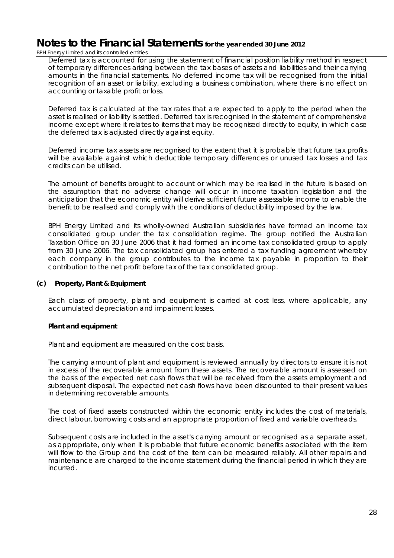BPH Energy Limited and its controlled entities

Deferred tax is accounted for using the statement of financial position liability method in respect of temporary differences arising between the tax bases of assets and liabilities and their carrying amounts in the financial statements. No deferred income tax will be recognised from the initial recognition of an asset or liability, excluding a business combination, where there is no effect on accounting or taxable profit or loss.

Deferred tax is calculated at the tax rates that are expected to apply to the period when the asset is realised or liability is settled. Deferred tax is recognised in the statement of comprehensive income except where it relates to items that may be recognised directly to equity, in which case the deferred tax is adjusted directly against equity.

Deferred income tax assets are recognised to the extent that it is probable that future tax profits will be available against which deductible temporary differences or unused tax losses and tax credits can be utilised.

The amount of benefits brought to account or which may be realised in the future is based on the assumption that no adverse change will occur in income taxation legislation and the anticipation that the economic entity will derive sufficient future assessable income to enable the benefit to be realised and comply with the conditions of deductibility imposed by the law.

BPH Energy Limited and its wholly-owned Australian subsidiaries have formed an income tax consolidated group under the tax consolidation regime. The group notified the Australian Taxation Office on 30 June 2006 that it had formed an income tax consolidated group to apply from 30 June 2006. The tax consolidated group has entered a tax funding agreement whereby each company in the group contributes to the income tax payable in proportion to their contribution to the net profit before tax of the tax consolidated group.

#### **(c) Property, Plant & Equipment**

Each class of property, plant and equipment is carried at cost less, where applicable, any accumulated depreciation and impairment losses.

#### **Plant and equipment**

Plant and equipment are measured on the cost basis.

The carrying amount of plant and equipment is reviewed annually by directors to ensure it is not in excess of the recoverable amount from these assets. The recoverable amount is assessed on the basis of the expected net cash flows that will be received from the assets employment and subsequent disposal. The expected net cash flows have been discounted to their present values in determining recoverable amounts.

The cost of fixed assets constructed within the economic entity includes the cost of materials, direct labour, borrowing costs and an appropriate proportion of fixed and variable overheads.

Subsequent costs are included in the asset's carrying amount or recognised as a separate asset, as appropriate, only when it is probable that future economic benefits associated with the item will flow to the Group and the cost of the item can be measured reliably. All other repairs and maintenance are charged to the income statement during the financial period in which they are incurred.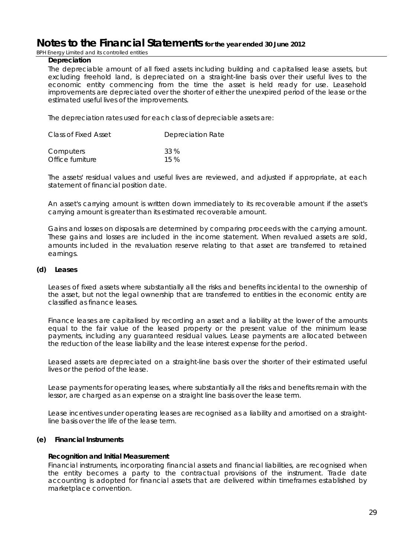BPH Energy Limited and its controlled entities

#### **Depreciation**

The depreciable amount of all fixed assets including building and capitalised lease assets, but excluding freehold land, is depreciated on a straight-line basis over their useful lives to the economic entity commencing from the time the asset is held ready for use. Leasehold improvements are depreciated over the shorter of either the unexpired period of the lease or the estimated useful lives of the improvements.

The depreciation rates used for each class of depreciable assets are:

| Class of Fixed Asset | Depreciation Rate |
|----------------------|-------------------|
| Computers            | 33 %              |
| Office furniture     | 15%               |

The assets' residual values and useful lives are reviewed, and adjusted if appropriate, at each statement of financial position date.

An asset's carrying amount is written down immediately to its recoverable amount if the asset's carrying amount is greater than its estimated recoverable amount.

Gains and losses on disposals are determined by comparing proceeds with the carrying amount. These gains and losses are included in the income statement. When revalued assets are sold, amounts included in the revaluation reserve relating to that asset are transferred to retained earnings.

#### **(d) Leases**

Leases of fixed assets where substantially all the risks and benefits incidental to the ownership of the asset, but not the legal ownership that are transferred to entities in the economic entity are classified as finance leases.

Finance leases are capitalised by recording an asset and a liability at the lower of the amounts equal to the fair value of the leased property or the present value of the minimum lease payments, including any guaranteed residual values. Lease payments are allocated between the reduction of the lease liability and the lease interest expense for the period.

Leased assets are depreciated on a straight-line basis over the shorter of their estimated useful lives or the period of the lease.

Lease payments for operating leases, where substantially all the risks and benefits remain with the lessor, are charged as an expense on a straight line basis over the lease term.

Lease incentives under operating leases are recognised as a liability and amortised on a straightline basis over the life of the lease term.

#### **(e) Financial Instruments**

#### **Recognition and Initial Measurement**

Financial instruments, incorporating financial assets and financial liabilities, are recognised when the entity becomes a party to the contractual provisions of the instrument. Trade date accounting is adopted for financial assets that are delivered within timeframes established by marketplace convention.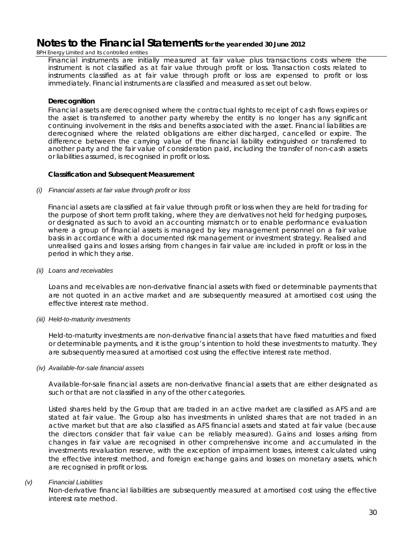BPH Energy Limited and its controlled entities

Financial instruments are initially measured at fair value plus transactions costs where the instrument is not classified as at fair value through profit or loss. Transaction costs related to instruments classified as at fair value through profit or loss are expensed to profit or loss immediately. Financial instruments are classified and measured as set out below.

#### **Derecognition**

Financial assets are derecognised where the contractual rights to receipt of cash flows expires or the asset is transferred to another party whereby the entity is no longer has any significant continuing involvement in the risks and benefits associated with the asset. Financial liabilities are derecognised where the related obligations are either discharged, cancelled or expire. The difference between the carrying value of the financial liability extinguished or transferred to another party and the fair value of consideration paid, including the transfer of non-cash assets or liabilities assumed, is recognised in profit or loss.

#### **Classification and Subsequent Measurement**

#### *(i) Financial assets at fair value through profit or loss*

Financial assets are classified at fair value through profit or loss when they are held for trading for the purpose of short term profit taking, where they are derivatives not held for hedging purposes, or designated as such to avoid an accounting mismatch or to enable performance evaluation where a group of financial assets is managed by key management personnel on a fair value basis in accordance with a documented risk management or investment strategy. Realised and unrealised gains and losses arising from changes in fair value are included in profit or loss in the period in which they arise.

#### *(ii) Loans and receivables*

Loans and receivables are non-derivative financial assets with fixed or determinable payments that are not quoted in an active market and are subsequently measured at amortised cost using the effective interest rate method.

#### *(iii) Held-to-maturity investments*

Held-to-maturity investments are non-derivative financial assets that have fixed maturities and fixed or determinable payments, and it is the group's intention to hold these investments to maturity. They are subsequently measured at amortised cost using the effective interest rate method.

#### *(iv) Available-for-sale financial assets*

Available-for-sale financial assets are non-derivative financial assets that are either designated as such or that are not classified in any of the other categories.

Listed shares held by the Group that are traded in an active market are classified as AFS and are stated at fair value. The Group also has investments in unlisted shares that are not traded in an active market but that are also classified as AFS financial assets and stated at fair value (because the directors consider that fair value can be reliably measured). Gains and losses arising from changes in fair value are recognised in other comprehensive income and accumulated in the investments revaluation reserve, with the exception of impairment losses, interest calculated using the effective interest method, and foreign exchange gains and losses on monetary assets, which are recognised in profit or loss.

#### *(v) Financial Liabilities*

Non-derivative financial liabilities are subsequently measured at amortised cost using the effective interest rate method.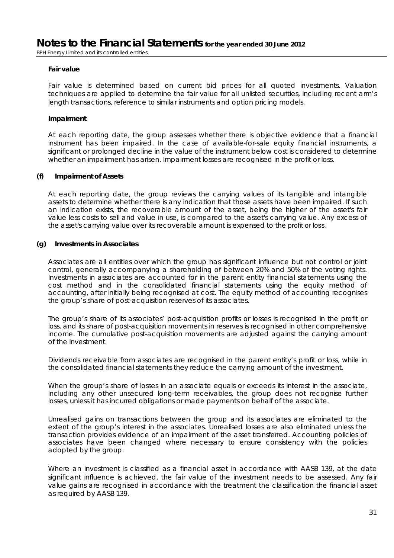BPH Energy Limited and its controlled entities

#### **Fair value**

Fair value is determined based on current bid prices for all quoted investments. Valuation techniques are applied to determine the fair value for all unlisted securities, including recent arm's length transactions, reference to similar instruments and option pricing models.

#### **Impairment**

At each reporting date, the group assesses whether there is objective evidence that a financial instrument has been impaired. In the case of available-for-sale equity financial instruments, a significant or prolonged decline in the value of the instrument below cost is considered to determine whether an impairment has arisen. Impairment losses are recognised in the profit or loss.

#### **(f) Impairment of Assets**

At each reporting date, the group reviews the carrying values of its tangible and intangible assets to determine whether there is any indication that those assets have been impaired. If such an indication exists, the recoverable amount of the asset, being the higher of the asset's fair value less costs to sell and value in use, is compared to the asset's carrying value. Any excess of the asset's carrying value over its recoverable amount is expensed to the profit or loss.

#### **(g) Investments in Associates**

Associates are all entities over which the group has significant influence but not control or joint control, generally accompanying a shareholding of between 20% and 50% of the voting rights. Investments in associates are accounted for in the parent entity financial statements using the cost method and in the consolidated financial statements using the equity method of accounting, after initially being recognised at cost. The equity method of accounting recognises the group's share of post-acquisition reserves of its associates.

The group's share of its associates' post-acquisition profits or losses is recognised in the profit or loss, and its share of post-acquisition movements in reserves is recognised in other comprehensive income. The cumulative post-acquisition movements are adjusted against the carrying amount of the investment.

Dividends receivable from associates are recognised in the parent entity's profit or loss, while in the consolidated financial statements they reduce the carrying amount of the investment.

When the group's share of losses in an associate equals or exceeds its interest in the associate, including any other unsecured long-term receivables, the group does not recognise further losses, unless it has incurred obligations or made payments on behalf of the associate.

Unrealised gains on transactions between the group and its associates are eliminated to the extent of the group's interest in the associates. Unrealised losses are also eliminated unless the transaction provides evidence of an impairment of the asset transferred. Accounting policies of associates have been changed where necessary to ensure consistency with the policies adopted by the group.

Where an investment is classified as a financial asset in accordance with AASB 139, at the date significant influence is achieved, the fair value of the investment needs to be assessed. Any fair value gains are recognised in accordance with the treatment the classification the financial asset as required by AASB 139.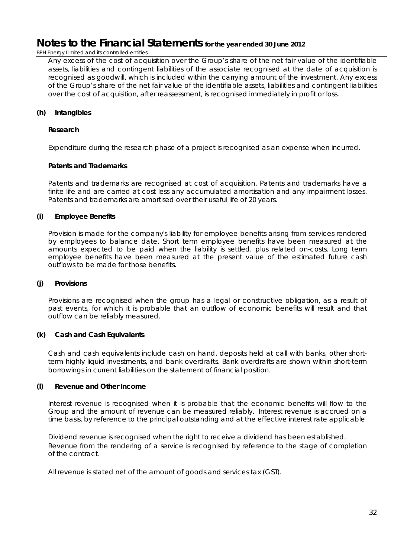BPH Energy Limited and its controlled entities

Any excess of the cost of acquisition over the Group's share of the net fair value of the identifiable assets, liabilities and contingent liabilities of the associate recognised at the date of acquisition is recognised as goodwill, which is included within the carrying amount of the investment. Any excess of the Group's share of the net fair value of the identifiable assets, liabilities and contingent liabilities over the cost of acquisition, after reassessment, is recognised immediately in profit or loss.

#### **(h) Intangibles**

#### **Research**

Expenditure during the research phase of a project is recognised as an expense when incurred.

#### **Patents and Trademarks**

Patents and trademarks are recognised at cost of acquisition. Patents and trademarks have a finite life and are carried at cost less any accumulated amortisation and any impairment losses. Patents and trademarks are amortised over their useful life of 20 years.

#### **(i) Employee Benefits**

Provision is made for the company's liability for employee benefits arising from services rendered by employees to balance date. Short term employee benefits have been measured at the amounts expected to be paid when the liability is settled, plus related on-costs. Long term employee benefits have been measured at the present value of the estimated future cash outflows to be made for those benefits.

#### **(j) Provisions**

Provisions are recognised when the group has a legal or constructive obligation, as a result of past events, for which it is probable that an outflow of economic benefits will result and that outflow can be reliably measured.

#### **(k) Cash and Cash Equivalents**

 Cash and cash equivalents include cash on hand, deposits held at call with banks, other shortterm highly liquid investments, and bank overdrafts. Bank overdrafts are shown within short-term borrowings in current liabilities on the statement of financial position.

#### **(l) Revenue and Other Income**

Interest revenue is recognised when it is probable that the economic benefits will flow to the Group and the amount of revenue can be measured reliably. Interest revenue is accrued on a time basis, by reference to the principal outstanding and at the effective interest rate applicable

Dividend revenue is recognised when the right to receive a dividend has been established. Revenue from the rendering of a service is recognised by reference to the stage of completion of the contract.

All revenue is stated net of the amount of goods and services tax (GST).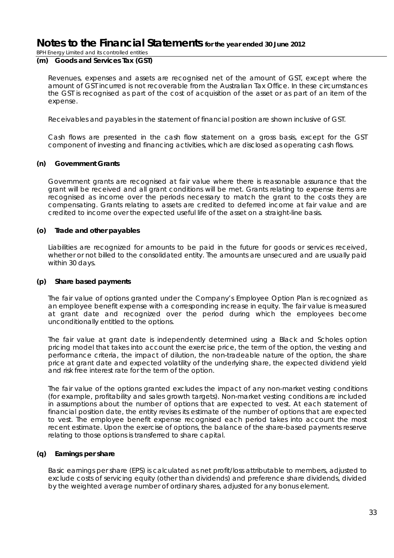BPH Energy Limited and its controlled entities

### **(m) Goods and Services Tax (GST)**

Revenues, expenses and assets are recognised net of the amount of GST, except where the amount of GST incurred is not recoverable from the Australian Tax Office. In these circumstances the GST is recognised as part of the cost of acquisition of the asset or as part of an item of the expense.

Receivables and payables in the statement of financial position are shown inclusive of GST.

Cash flows are presented in the cash flow statement on a gross basis, except for the GST component of investing and financing activities, which are disclosed as operating cash flows.

#### **(n) Government Grants**

Government grants are recognised at fair value where there is reasonable assurance that the grant will be received and all grant conditions will be met. Grants relating to expense items are recognised as income over the periods necessary to match the grant to the costs they are compensating. Grants relating to assets are credited to deferred income at fair value and are credited to income over the expected useful life of the asset on a straight-line basis.

#### **(o) Trade and other payables**

Liabilities are recognized for amounts to be paid in the future for goods or services received, whether or not billed to the consolidated entity. The amounts are unsecured and are usually paid within 30 days.

#### **(p) Share based payments**

The fair value of options granted under the Company's Employee Option Plan is recognized as an employee benefit expense with a corresponding increase in equity. The fair value is measured at grant date and recognized over the period during which the employees become unconditionally entitled to the options.

The fair value at grant date is independently determined using a Black and Scholes option pricing model that takes into account the exercise price, the term of the option, the vesting and performance criteria, the impact of dilution, the non-tradeable nature of the option, the share price at grant date and expected volatility of the underlying share, the expected dividend yield and risk free interest rate for the term of the option.

The fair value of the options granted excludes the impact of any non-market vesting conditions (for example, profitability and sales growth targets). Non-market vesting conditions are included in assumptions about the number of options that are expected to vest. At each statement of financial position date, the entity revises its estimate of the number of options that are expected to vest. The employee benefit expense recognised each period takes into account the most recent estimate. Upon the exercise of options, the balance of the share-based payments reserve relating to those options is transferred to share capital.

#### **(q) Earnings per share**

Basic earnings per share (EPS) is calculated as net profit/loss attributable to members, adjusted to exclude costs of servicing equity (other than dividends) and preference share dividends, divided by the weighted average number of ordinary shares, adjusted for any bonus element.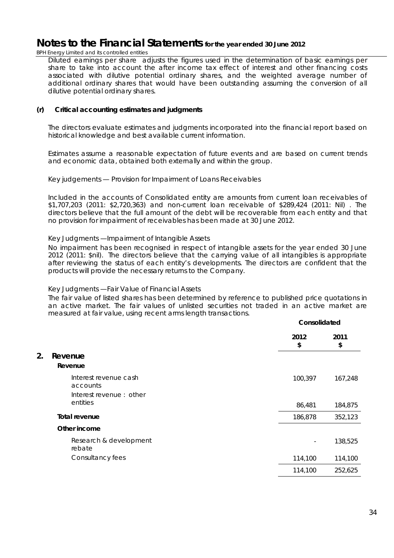BPH Energy Limited and its controlled entities

Diluted earnings per share adjusts the figures used in the determination of basic earnings per share to take into account the after income tax effect of interest and other financing costs associated with dilutive potential ordinary shares, and the weighted average number of additional ordinary shares that would have been outstanding assuming the conversion of all dilutive potential ordinary shares.

#### **(r) Critical accounting estimates and judgments**

The directors evaluate estimates and judgments incorporated into the financial report based on historical knowledge and best available current information.

Estimates assume a reasonable expectation of future events and are based on current trends and economic data, obtained both externally and within the group.

#### *Key judgements — Provision for Impairment of Loans Receivables*

Included in the accounts of Consolidated entity are amounts from current loan receivables of \$1,707,203 (2011: \$2,720,363) and non-current loan receivable of \$289,424 (2011: Nil) . The directors believe that the full amount of the debt will be recoverable from each entity and that no provision for impairment of receivables has been made at 30 June 2012.

#### *Key Judgments —Impairment of Intangible Assets*

No impairment has been recognised in respect of intangible assets for the year ended 30 June 2012 (2011: \$nil). The directors believe that the carrying value of all intangibles is appropriate after reviewing the status of each entity's developments. The directors are confident that the products will provide the necessary returns to the Company.

#### *Key Judgments —Fair Value of Financial Assets*

The fair value of listed shares has been determined by reference to published price quotations in an active market. The fair values of unlisted securities not traded in an active market are measured at fair value, using recent arms length transactions.

|    |                                   | Consolidated             |            |
|----|-----------------------------------|--------------------------|------------|
|    |                                   | 2012<br>\$               | 2011<br>\$ |
| 2. | Revenue                           |                          |            |
|    | Revenue                           |                          |            |
|    | Interest revenue cash<br>accounts | 100,397                  | 167,248    |
|    | Interest revenue: other           |                          |            |
|    | entities                          | 86,481                   | 184,875    |
|    | Total revenue                     | 186,878                  | 352,123    |
|    | Other income                      |                          |            |
|    | Research & development<br>rebate  | $\overline{\phantom{a}}$ | 138,525    |
|    | Consultancy fees                  | 114,100                  | 114,100    |
|    |                                   | 114,100                  | 252,625    |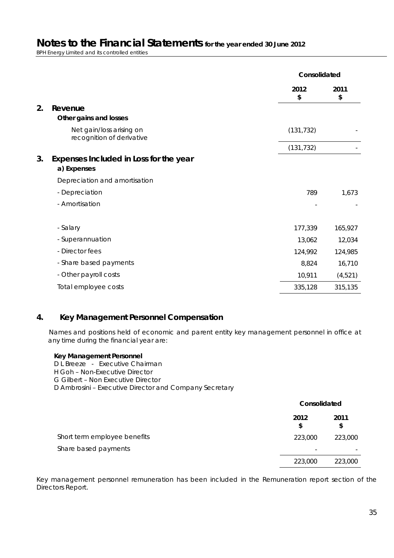BPH Energy Limited and its controlled entities

|    |                                                       | Consolidated |            |
|----|-------------------------------------------------------|--------------|------------|
|    |                                                       | 2012<br>\$   | 2011<br>\$ |
| 2. | Revenue                                               |              |            |
|    | Other gains and losses                                |              |            |
|    | Net gain/loss arising on<br>recognition of derivative | (131, 732)   |            |
|    |                                                       | (131, 732)   |            |
| 3. | Expenses Included in Loss for the year                |              |            |
|    | a) Expenses                                           |              |            |
|    | Depreciation and amortisation                         |              |            |
|    | - Depreciation                                        | 789          | 1,673      |
|    | - Amortisation                                        |              |            |
|    | - Salary                                              | 177,339      | 165,927    |
|    | - Superannuation                                      | 13,062       | 12,034     |
|    | - Director fees                                       | 124,992      | 124,985    |
|    | - Share based payments                                | 8,824        | 16,710     |
|    | - Other payroll costs                                 | 10,911       | (4,521)    |
|    | Total employee costs                                  | 335,128      | 315,135    |

#### **4. Key Management Personnel Compensation**

 Names and positions held of economic and parent entity key management personnel in office at any time during the financial year are:

#### *Key Management Personnel*

- D L Breeze Executive Chairman H Goh – Non-Executive Director
- G Gilbert Non Executive Director
- D Ambrosini Executive Director and Company Secretary

|                              | Consolidated             |            |
|------------------------------|--------------------------|------------|
|                              | 2012<br>\$               | 2011<br>\$ |
| Short term employee benefits | 223,000                  | 223,000    |
| Share based payments         | $\overline{\phantom{0}}$ |            |
|                              | 223,000                  | 223,000    |

Key management personnel remuneration has been included in the Remuneration report section of the Directors Report.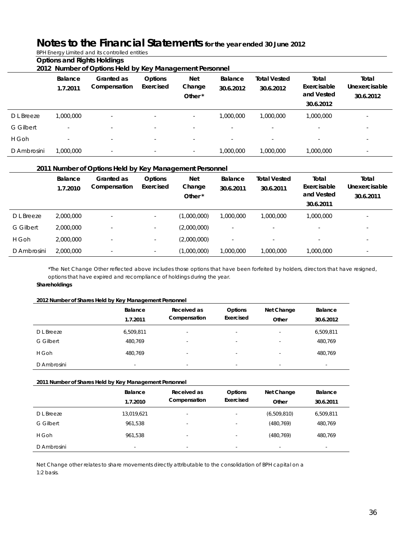BPH Energy Limited and its controlled entities

|                  |                          | <b>Options and Rights Holdings</b><br>2012 Number of Options Held by Key Management Personnel |                             |                                            |                             |                                  |                                                 |                                     |
|------------------|--------------------------|-----------------------------------------------------------------------------------------------|-----------------------------|--------------------------------------------|-----------------------------|----------------------------------|-------------------------------------------------|-------------------------------------|
|                  | Balance<br>1.7.2011      | Granted as<br>Compensation                                                                    | <b>Options</b><br>Exercised | <b>Net</b><br>Change<br>Other <sup>*</sup> | <b>Balance</b><br>30.6.2012 | <b>Total Vested</b><br>30.6.2012 | Total<br>Exercisable<br>and Vested<br>30.6.2012 | Total<br>Unexercisable<br>30.6.2012 |
| D L Breeze       | 1,000,000                |                                                                                               | $\overline{\phantom{a}}$    | $\overline{\phantom{a}}$                   | 1,000,000                   | 1,000,000                        | 1,000,000                                       |                                     |
| <b>G</b> Gilbert | $\overline{\phantom{a}}$ | $\overline{\phantom{a}}$                                                                      | $\overline{\phantom{a}}$    | $\blacksquare$                             | ٠                           | $\overline{\phantom{a}}$         | $\sim$                                          |                                     |
| H Goh            |                          |                                                                                               | $\overline{\phantom{a}}$    | $\overline{\phantom{a}}$                   | $\sim$                      | ۰                                | $\sim$                                          |                                     |
| D Ambrosini      | 1,000,000                | $\overline{\phantom{a}}$                                                                      | $\overline{\phantom{a}}$    | $\sim$                                     | 1,000,000                   | 1,000,000                        | 1.000.000                                       | ۰                                   |

#### **2011 Number of Options Held by Key Management Personnel**

|                  | <b>Balance</b><br>1.7.2010 | Granted as<br>Compensation | <b>Options</b><br>Exercised | <b>Net</b><br>Change<br>Other * | <b>Balance</b><br>30.6.2011 | <b>Total Vested</b><br>30.6.2011 | Total<br>Exercisable<br>and Vested<br>30.6.2011 | Total<br>Unexercisable<br>30.6.2011 |
|------------------|----------------------------|----------------------------|-----------------------------|---------------------------------|-----------------------------|----------------------------------|-------------------------------------------------|-------------------------------------|
| D L Breeze       | 2,000,000                  | $\overline{\phantom{a}}$   | $\overline{\phantom{a}}$    | (1,000,000)                     | 1,000,000                   | 1,000,000                        | 1,000,000                                       |                                     |
| <b>G</b> Gilbert | 2,000,000                  |                            | $\overline{\phantom{a}}$    | (2,000,000)                     |                             |                                  |                                                 | $\overline{\phantom{a}}$            |
| H Goh            | 2,000,000                  | $\overline{\phantom{a}}$   | $\overline{\phantom{a}}$    | (2,000,000)                     | $\overline{\phantom{a}}$    | $\sim$                           |                                                 | $\overline{\phantom{a}}$            |
| D Ambrosini      | 2.000.000                  | $\overline{\phantom{a}}$   | $\overline{\phantom{a}}$    | (1,000,000)                     | 1.000.000                   | 1,000,000                        | 1,000,000                                       | $\overline{\phantom{a}}$            |

\*The Net Change Other reflected above includes those options that have been forfeited by holders, directors that have resigned, options that have expired and recompliance of holdings during the year.

#### **Shareholdings**

#### **2012 Number of Shares Held by Key Management Personnel**

|             | Balance<br>1.7.2011      | Received as<br>Compensation | Options<br>Exercised | Net Change<br>Other      | Balance<br>30.6.2012     |
|-------------|--------------------------|-----------------------------|----------------------|--------------------------|--------------------------|
| D L Breeze  | 6,509,811                | $\sim$                      | ۰                    | $\overline{\phantom{a}}$ | 6,509,811                |
| G Gilbert   | 480.769                  | $\overline{\phantom{a}}$    | ۰                    | $\overline{\phantom{a}}$ | 480,769                  |
| H Goh       | 480,769                  | $\sim$                      | ۰                    | $\overline{\phantom{a}}$ | 480,769                  |
| D Ambrosini | $\overline{\phantom{a}}$ | $\overline{\phantom{a}}$    | ۰                    | $\overline{\phantom{a}}$ | $\overline{\phantom{a}}$ |

#### **2011 Number of Shares Held by Key Management Personnel**

|             | <b>Balance</b><br>1.7.2010 | Received as<br>Compensation | <b>Options</b><br>Exercised | Net Change<br>Other | Balance<br>30.6.2011 |
|-------------|----------------------------|-----------------------------|-----------------------------|---------------------|----------------------|
| D L Breeze  | 13,019,621                 | $\sim$                      | $\overline{\phantom{a}}$    | (6,509,810)         | 6,509,811            |
| G Gilbert   | 961,538                    | $\overline{\phantom{a}}$    | $\overline{\phantom{a}}$    | (480, 769)          | 480,769              |
| H Goh       | 961,538                    | $\overline{\phantom{a}}$    | $\overline{\phantom{a}}$    | (480, 769)          | 480.769              |
| D Ambrosini | $\overline{\phantom{a}}$   | $\overline{\phantom{a}}$    | $\sim$                      | $\overline{a}$      | $\sim$               |

Net Change other relates to share movements directly attributable to the consolidation of BPH capital on a 1:2 basis.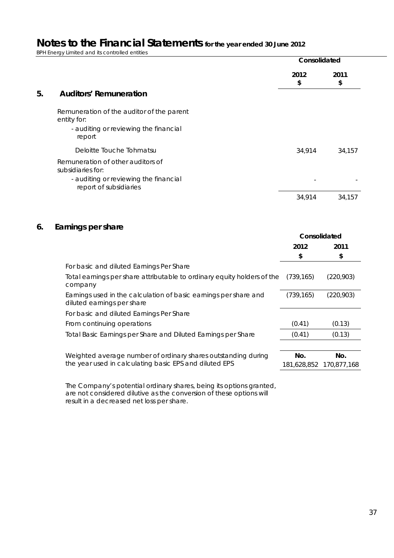BPH Energy Limited and its controlled entities

|    |                                                                                                                           | Consolidated |            |
|----|---------------------------------------------------------------------------------------------------------------------------|--------------|------------|
|    |                                                                                                                           | 2012<br>\$   | 2011<br>\$ |
| 5. | <b>Auditors' Remuneration</b>                                                                                             |              |            |
|    | Remuneration of the auditor of the parent<br>entity for:<br>- auditing or reviewing the financial<br>report               |              |            |
|    | Deloitte Touche Tohmatsu                                                                                                  | 34,914       | 34,157     |
|    | Remuneration of other auditors of<br>subsidiaries for:<br>- auditing or reviewing the financial<br>report of subsidiaries |              |            |
|    |                                                                                                                           | 34,914       | 34,157     |
| 6. | Earnings per share                                                                                                        | Consolidated |            |
|    |                                                                                                                           |              |            |

|                                                                                                                         | vunsulludlu |                                |
|-------------------------------------------------------------------------------------------------------------------------|-------------|--------------------------------|
|                                                                                                                         | 2012        | 2011                           |
|                                                                                                                         | \$          | \$                             |
| For basic and diluted Earnings Per Share                                                                                |             |                                |
| Total earnings per share attributable to ordinary equity holders of the<br>company                                      | (739.165)   | (220,903)                      |
| Earnings used in the calculation of basic earnings per share and<br>diluted earnings per share                          | (739, 165)  | (220,903)                      |
| For basic and diluted Earnings Per Share                                                                                |             |                                |
| From continuing operations                                                                                              | (0.41)      | (0.13)                         |
| Total Basic Earnings per Share and Diluted Earnings per Share                                                           | (0.41)      | (0.13)                         |
|                                                                                                                         |             |                                |
| Weighted average number of ordinary shares outstanding during<br>the year used in calculating basic EPS and diluted EPS | No.         | No.<br>181,628,852 170,877,168 |
|                                                                                                                         |             |                                |

 The Company's potential ordinary shares, being its options granted, are not considered dilutive as the conversion of these options will result in a decreased net loss per share.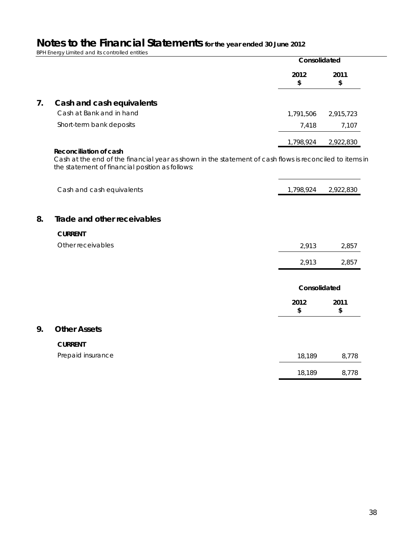BPH Energy Limited and its controlled entities

|    |                                                                                                                                                                                      | Consolidated |            |
|----|--------------------------------------------------------------------------------------------------------------------------------------------------------------------------------------|--------------|------------|
|    |                                                                                                                                                                                      | 2012<br>\$   | 2011<br>\$ |
| 7. | Cash and cash equivalents                                                                                                                                                            |              |            |
|    | Cash at Bank and in hand                                                                                                                                                             | 1,791,506    | 2,915,723  |
|    | Short-term bank deposits                                                                                                                                                             | 7,418        | 7,107      |
|    | Reconciliation of cash<br>Cash at the end of the financial year as shown in the statement of cash flows is reconciled to items in<br>the statement of financial position as follows: | 1,798,924    | 2,922,830  |
|    | Cash and cash equivalents                                                                                                                                                            | 1,798,924    | 2,922,830  |
| 8. | Trade and other receivables                                                                                                                                                          |              |            |
|    | <b>CURRENT</b>                                                                                                                                                                       |              |            |
|    | Other receivables                                                                                                                                                                    | 2,913        | 2,857      |
|    |                                                                                                                                                                                      | 2,913        | 2,857      |
|    |                                                                                                                                                                                      | Consolidated |            |
|    |                                                                                                                                                                                      | 2012<br>\$   | 2011<br>\$ |
| 9. | <b>Other Assets</b>                                                                                                                                                                  |              |            |
|    | <b>CURRENT</b>                                                                                                                                                                       |              |            |
|    | Prepaid insurance                                                                                                                                                                    | 18,189       | 8,778      |
|    |                                                                                                                                                                                      | 18,189       | 8,778      |
|    |                                                                                                                                                                                      |              |            |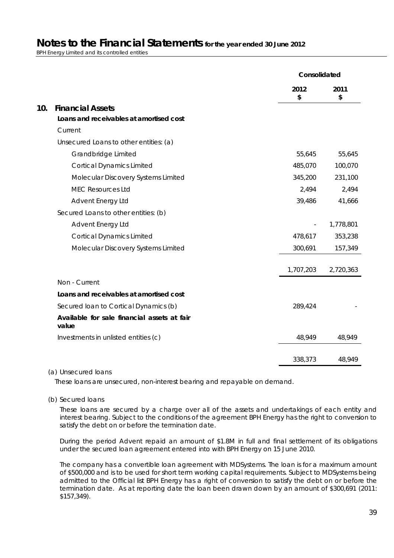BPH Energy Limited and its controlled entities

|     |                                                      | Consolidated |            |
|-----|------------------------------------------------------|--------------|------------|
|     |                                                      | 2012<br>\$   | 2011<br>\$ |
| 10. | <b>Financial Assets</b>                              |              |            |
|     | Loans and receivables at amortised cost              |              |            |
|     | Current                                              |              |            |
|     | Unsecured Loans to other entities: (a)               |              |            |
|     | Grandbridge Limited                                  | 55,645       | 55,645     |
|     | <b>Cortical Dynamics Limited</b>                     | 485,070      | 100,070    |
|     | Molecular Discovery Systems Limited                  | 345,200      | 231,100    |
|     | <b>MEC Resources Ltd</b>                             | 2,494        | 2,494      |
|     | Advent Energy Ltd                                    | 39,486       | 41,666     |
|     | Secured Loans to other entities: (b)                 |              |            |
|     | Advent Energy Ltd                                    |              | 1,778,801  |
|     | <b>Cortical Dynamics Limited</b>                     | 478,617      | 353,238    |
|     | Molecular Discovery Systems Limited                  | 300,691      | 157,349    |
|     |                                                      | 1,707,203    | 2,720,363  |
|     | Non - Current                                        |              |            |
|     | Loans and receivables at amortised cost              |              |            |
|     | Secured Ioan to Cortical Dynamics (b)                | 289,424      |            |
|     | Available for sale financial assets at fair<br>value |              |            |
|     | Investments in unlisted entities (c)                 | 48,949       | 48,949     |
|     |                                                      | 338,373      | 48,949     |

(a) Unsecured loans

These loans are unsecured, non-interest bearing and repayable on demand.

(b) Secured loans

These loans are secured by a charge over all of the assets and undertakings of each entity and interest bearing. Subject to the conditions of the agreement BPH Energy has the right to conversion to satisfy the debt on or before the termination date.

During the period Advent repaid an amount of \$1.8M in full and final settlement of its obligations under the secured loan agreement entered into with BPH Energy on 15 June 2010.

The company has a convertible loan agreement with MDSystems. The loan is for a maximum amount of \$500,000 and is to be used for short term working capital requirements. Subject to MDSystems being admitted to the Official list BPH Energy has a right of conversion to satisfy the debt on or before the termination date. As at reporting date the loan been drawn down by an amount of \$300,691 (2011: \$157,349).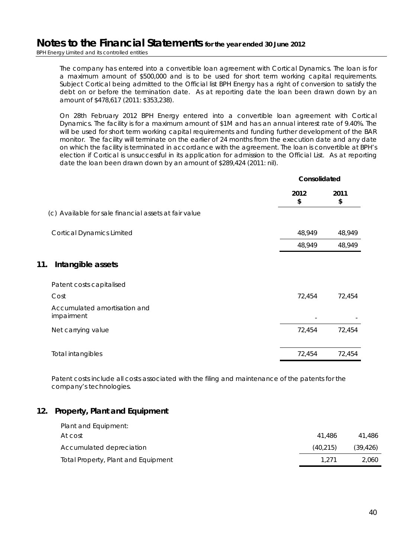BPH Energy Limited and its controlled entities

The company has entered into a convertible loan agreement with Cortical Dynamics. The loan is for a maximum amount of \$500,000 and is to be used for short term working capital requirements. Subject Cortical being admitted to the Official list BPH Energy has a right of conversion to satisfy the debt on or before the termination date. As at reporting date the loan been drawn down by an amount of \$478,617 (2011: \$353,238).

On 28th February 2012 BPH Energy entered into a convertible loan agreement with Cortical Dynamics. The facility is for a maximum amount of \$1M and has an annual interest rate of 9.40%. The will be used for short term working capital requirements and funding further development of the BAR monitor. The facility will terminate on the earlier of 24 months from the execution date and any date on which the facility is terminated in accordance with the agreement. The loan is convertible at BPH's election if Cortical is unsuccessful in its application for admission to the Official List. As at reporting date the loan been drawn down by an amount of \$289,424 (2011: nil).

|                                                       | Consolidated |            |
|-------------------------------------------------------|--------------|------------|
|                                                       | 2012<br>\$   | 2011<br>\$ |
| (c) Available for sale financial assets at fair value |              |            |
| <b>Cortical Dynamics Limited</b>                      | 48,949       | 48,949     |
|                                                       | 48,949       | 48,949     |
| Intangible assets<br>11.                              |              |            |
| Patent costs capitalised                              |              |            |
| Cost                                                  | 72,454       | 72,454     |
| Accumulated amortisation and<br>impairment            |              |            |
| Net carrying value                                    | 72,454       | 72,454     |
| Total intangibles                                     | 72,454       | 72,454     |

Patent costs include all costs associated with the filing and maintenance of the patents for the company's technologies.

#### **12. Property, Plant and Equipment**

| Plant and Equipment:                |          |          |
|-------------------------------------|----------|----------|
| At cost                             | 41.486   | 41,486   |
| Accumulated depreciation            | (40.215) | (39.426) |
| Total Property, Plant and Equipment | 1.271    | 2.060    |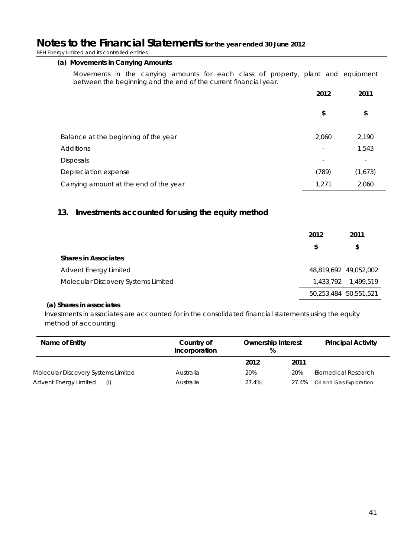BPH Energy Limited and its controlled entities

#### **(a) Movements in Carrying Amounts**

 Movements in the carrying amounts for each class of property, plant and equipment between the beginning and the end of the current financial year.

|                                        | 2012                     | 2011                     |
|----------------------------------------|--------------------------|--------------------------|
|                                        | \$                       | \$                       |
| Balance at the beginning of the year   | 2,060                    | 2,190                    |
| <b>Additions</b>                       | $\overline{\phantom{a}}$ | 1,543                    |
| <b>Disposals</b>                       | $\overline{\phantom{a}}$ | $\overline{\phantom{a}}$ |
| Depreciation expense                   | (789)                    | (1,673)                  |
| Carrying amount at the end of the year | 1,271                    | 2,060                    |

#### **13. Investments accounted for using the equity method**

|                                     | 2012 | 2011                  |
|-------------------------------------|------|-----------------------|
|                                     | \$   | S.                    |
| <b>Shares in Associates</b>         |      |                       |
| <b>Advent Energy Limited</b>        |      | 48,819,692 49,052,002 |
| Molecular Discovery Systems Limited |      | 1,433,792 1,499,519   |
|                                     |      | 50,253,484 50,551,521 |

#### *(a) Shares in associates*

 Investments in associates are accounted for in the consolidated financial statements using the equity method of accounting.

| Name of Entity                      | Country of<br>Incorporation | <b>Ownership Interest</b><br>% |       | <b>Principal Activity</b>  |  |
|-------------------------------------|-----------------------------|--------------------------------|-------|----------------------------|--|
|                                     |                             | 2012                           | 2011  |                            |  |
| Molecular Discovery Systems Limited | Australia                   | 20%                            | 20%   | <b>Biomedical Research</b> |  |
| <b>Advent Energy Limited</b><br>(i) | Australia                   | 27.4%                          | 27.4% | Oil and Gas Exploration    |  |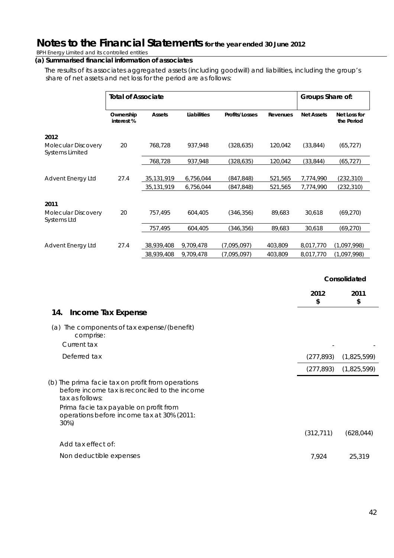BPH Energy Limited and its controlled entities

### **(a) Summarised financial information of associates**

The results of its associates aggregated assets (including goodwill) and liabilities, including the group's share of net assets and net loss for the period are as follows:

|                                               | <b>Total of Associate</b> |                          |                        |                        |                    | Groups Share of:       |                            |
|-----------------------------------------------|---------------------------|--------------------------|------------------------|------------------------|--------------------|------------------------|----------------------------|
|                                               | Ownership<br>interest%    | <b>Assets</b>            | Liabilities            | <b>Profits/Losses</b>  | Revenues           | <b>Net Assets</b>      | Net Loss for<br>the Period |
| 2012                                          |                           |                          |                        |                        |                    |                        |                            |
| Molecular Discovery<br><b>Systems Limited</b> | 20                        | 768,728                  | 937,948                | (328, 635)             | 120,042            | (33, 844)              | (65, 727)                  |
|                                               |                           | 768,728                  | 937,948                | (328, 635)             | 120,042            | (33,844)               | (65, 727)                  |
| Advent Energy Ltd                             | 27.4                      | 35,131,919<br>35,131,919 | 6,756,044<br>6,756,044 | (847,848)<br>(847,848) | 521,565<br>521,565 | 7,774,990<br>7,774,990 | (232, 310)<br>(232, 310)   |
|                                               |                           |                          |                        |                        |                    |                        |                            |
| 2011<br>Molecular Discovery<br>Systems Ltd    | 20                        | 757,495                  | 604,405                | (346, 356)             | 89,683             | 30,618                 | (69, 270)                  |
|                                               |                           | 757,495                  | 604,405                | (346,356)              | 89,683             | 30,618                 | (69, 270)                  |
| Advent Energy Ltd                             | 27.4                      | 38,939,408               | 9,709,478              | (7,095,097)            | 403,809            | 8,017,770              | (1,097,998)                |
|                                               |                           | 38,939,408               | 9,709,478              | (7,095,097)            | 403,809            | 8,017,770              | (1,097,998)                |

|                                                                                                                                                                                                                       |            | Consolidated |
|-----------------------------------------------------------------------------------------------------------------------------------------------------------------------------------------------------------------------|------------|--------------|
|                                                                                                                                                                                                                       | 2012<br>\$ | 2011<br>\$   |
| Income Tax Expense<br>14.                                                                                                                                                                                             |            |              |
| (a) The components of tax expense/(benefit)<br>comprise:<br>Current tax                                                                                                                                               |            |              |
| Deferred tax                                                                                                                                                                                                          | (277, 893) | (1,825,599)  |
|                                                                                                                                                                                                                       | (277, 893) | (1,825,599)  |
| (b) The prima facie tax on profit from operations<br>before income tax is reconciled to the income<br>tax as follows:<br>Prima facie tax payable on profit from<br>operations before income tax at 30% (2011:<br>30%) |            |              |
|                                                                                                                                                                                                                       | (312, 711) | (628, 044)   |
| Add tax effect of:                                                                                                                                                                                                    |            |              |
| Non deductible expenses                                                                                                                                                                                               | 7,924      | 25,319       |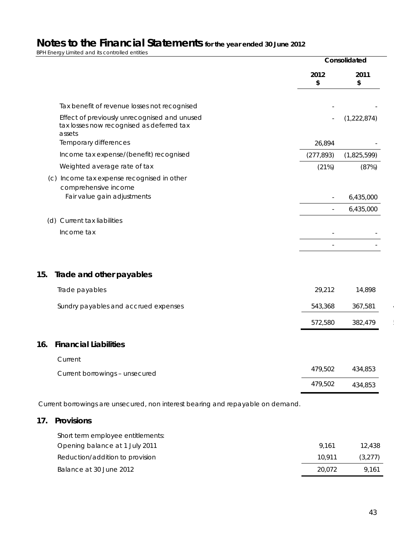BPH Energy Limited and its controlled entities

|                                                                                                     |                  | Consolidated     |
|-----------------------------------------------------------------------------------------------------|------------------|------------------|
|                                                                                                     | 2012<br>\$       | 2011<br>\$       |
| Tax benefit of revenue losses not recognised                                                        |                  |                  |
| Effect of previously unrecognised and unused<br>tax losses now recognised as deferred tax<br>assets |                  | (1, 222, 874)    |
| Temporary differences                                                                               | 26,894           |                  |
| Income tax expense/(benefit) recognised                                                             | (277, 893)       | (1,825,599)      |
| Weighted average rate of tax                                                                        | (21%)            | (87%)            |
| (c) Income tax expense recognised in other<br>comprehensive income                                  |                  |                  |
| Fair value gain adjustments                                                                         | $\sim$           | 6,435,000        |
| (d) Current tax liabilities                                                                         | $\overline{a}$   | 6,435,000        |
| Income tax                                                                                          |                  |                  |
| 15.<br>Trade and other payables                                                                     |                  |                  |
| Trade payables                                                                                      | 29,212           | 14,898           |
| Sundry payables and accrued expenses                                                                | 543,368          | 367,581          |
|                                                                                                     | 572,580          | 382,479          |
| <b>Financial Liabilities</b><br>16.                                                                 |                  |                  |
| Current                                                                                             |                  |                  |
| Current borrowings - unsecured                                                                      | 479,502          | 434,853          |
|                                                                                                     | 479,502          | 434,853          |
| Current borrowings are unsecured, non interest bearing and repayable on demand.                     |                  |                  |
| <b>Provisions</b><br>17.                                                                            |                  |                  |
| Short term employee entitlements:                                                                   |                  |                  |
| Opening balance at 1 July 2011                                                                      | 9,161            | 12,438           |
|                                                                                                     |                  |                  |
| Reduction/addition to provision<br>Balance at 30 June 2012                                          | 10,911<br>20,072 | (3,277)<br>9,161 |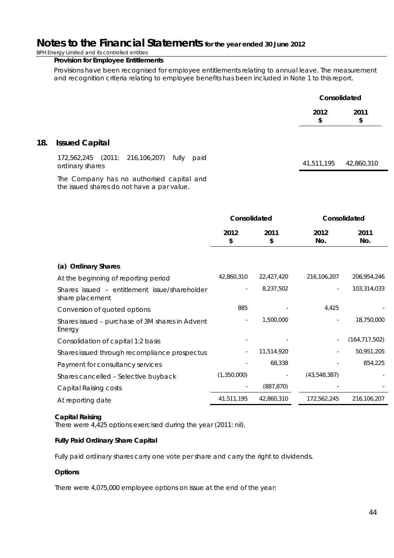BPH Energy Limited and its controlled entities

#### **Provision for Employee Entitlements**

Provisions have been recognised for employee entitlements relating to annual leave. The measurement and recognition criteria relating to employee benefits has been included in Note 1 to this report.

|     |                                                                                                                                                                                                                               | Consolidated |            |
|-----|-------------------------------------------------------------------------------------------------------------------------------------------------------------------------------------------------------------------------------|--------------|------------|
|     |                                                                                                                                                                                                                               | 2012<br>\$   | 2011<br>\$ |
| 18. | <b>Issued Capital</b>                                                                                                                                                                                                         |              |            |
|     | 172,562,245 (2011: 216,106,207) fully<br>paid<br>ordinary shares                                                                                                                                                              | 41,511,195   | 42,860,310 |
|     | 그는 그 그는 그 사람들은 그 사람들을 하고 있다. 그는 그 사람들은 그 사람들은 그 사람들을 지르며 그 사람들을 지르며 그 사람들을 지르며 그 사람들을 지르며 그 사람들을 지르며 그 사람들을 지르며 그 사람들을 지르며 그 사람들을 지르며 그 사람들을 지르며 그 사람들을 지르며 그 사람들을 지르며 그 사람들을 지르며 그 사람들을 지르며 그 사람들을 지르며 그 사람들을 지르며 그 사람들을 지르며 |              |            |

The Company has no authorised capital and the issued shares do not have a par value.

|                                                                  | Consolidated |            |              | Consolidated    |
|------------------------------------------------------------------|--------------|------------|--------------|-----------------|
|                                                                  | 2012<br>\$   | 2011<br>\$ | 2012<br>No.  | 2011<br>No.     |
| (a) Ordinary Shares                                              |              |            |              |                 |
| At the beginning of reporting period                             | 42,860,310   | 22,427,420 | 216,106,207  | 206,954,246     |
| Shares issued - entitlement issue/shareholder<br>share placement |              | 8,237,502  |              | 103,314,033     |
| Conversion of quoted options                                     | 885          |            | 4,425        |                 |
| Shares issued - purchase of 3M shares in Advent<br>Energy        |              | 1,500,000  |              | 18,750,000      |
| Consolidation of capital 1:2 basis                               |              |            |              | (164, 717, 502) |
| Shares issued through recompliance prospectus                    |              | 11,514,920 |              | 50,951,205      |
| Payment for consultancy services                                 |              | 68,338     |              | 854,225         |
| Shares cancelled - Selective buyback                             | (1,350,000)  |            | (43,548,387) |                 |
| Capital Raising costs                                            |              | (887, 870) |              |                 |
| At reporting date                                                | 41,511,195   | 42,860,310 | 172,562,245  | 216,106,207     |

#### **Capital Raising**

There were 4,425 options exercised during the year (2011: nil).

#### **Fully Paid Ordinary Share Capital**

Fully paid ordinary shares carry one vote per share and carry the right to dividends.

#### **Options**

There were 4,075,000 employee options on issue at the end of the year: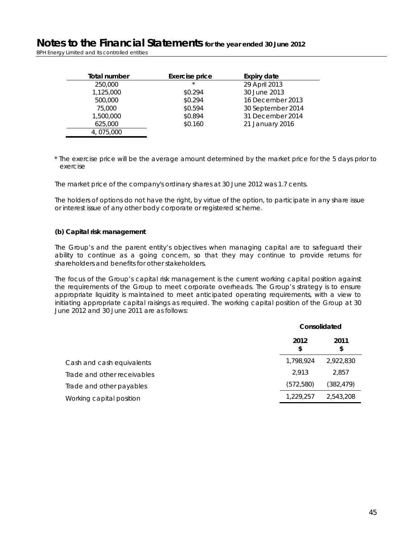BPH Energy Limited and its controlled entities

| Total number | <b>Exercise price</b> | Expiry date       |
|--------------|-----------------------|-------------------|
| 250,000      | $\star$               | 29 April 2013     |
| 1,125,000    | \$0.294               | 30 June 2013      |
| 500,000      | \$0.294               | 16 December 2013  |
| 75,000       | \$0.594               | 30 September 2014 |
| 1,500,000    | \$0.894               | 31 December 2014  |
| 625,000      | \$0.160               | 21 January 2016   |
| 4,075,000    |                       |                   |

 \* The exercise price will be the average amount determined by the market price for the 5 days prior to exercise

The market price of the company's ordinary shares at 30 June 2012 was 1.7 cents.

The holders of options do not have the right, by virtue of the option, to participate in any share issue or interest issue of any other body corporate or registered scheme.

#### **(b) Capital risk management**

The Group's and the parent entity's objectives when managing capital are to safeguard their ability to continue as a going concern, so that they may continue to provide returns for shareholders and benefits for other stakeholders.

The focus of the Group's capital risk management is the current working capital position against the requirements of the Group to meet corporate overheads. The Group's strategy is to ensure appropriate liquidity is maintained to meet anticipated operating requirements, with a view to initiating appropriate capital raisings as required. The working capital position of the Group at 30 June 2012 and 30 June 2011 are as follows:

|                             | Consolidated |            |  |
|-----------------------------|--------------|------------|--|
|                             | 2012<br>\$   | 2011<br>\$ |  |
| Cash and cash equivalents   | 1,798,924    | 2,922,830  |  |
| Trade and other receivables | 2.913        | 2,857      |  |
| Trade and other payables    | (572, 580)   | (382, 479) |  |
| Working capital position    | 1,229,257    | 2,543,208  |  |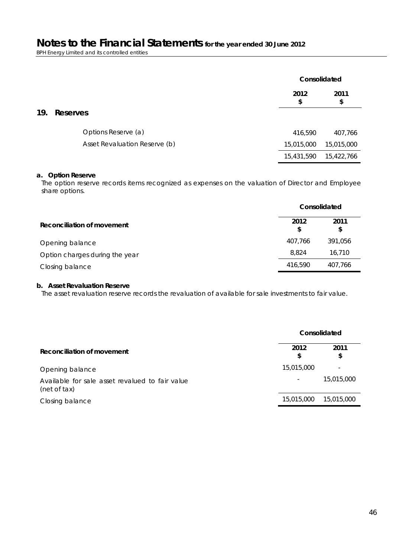BPH Energy Limited and its controlled entities

|     |                               |            | Consolidated |  |
|-----|-------------------------------|------------|--------------|--|
|     |                               | 2012<br>\$ | 2011<br>\$   |  |
| 19. | Reserves                      |            |              |  |
|     | Options Reserve (a)           | 416,590    | 407,766      |  |
|     | Asset Revaluation Reserve (b) | 15,015,000 | 15,015,000   |  |
|     |                               | 15,431,590 | 15,422,766   |  |

#### **a. Option Reserve**

The option reserve records items recognized as expenses on the valuation of Director and Employee share options.

|                                | Consolidated |            |  |
|--------------------------------|--------------|------------|--|
| Reconciliation of movement     | 2012<br>\$   | 2011<br>\$ |  |
| Opening balance                | 407,766      | 391.056    |  |
| Option charges during the year | 8.824        | 16,710     |  |
| Closing balance                | 416,590      | 407.766    |  |

#### **b. Asset Revaluation Reserve**

The asset revaluation reserve records the revaluation of available for sale investments to fair value.

|                                                                 | Consolidated             |                          |  |
|-----------------------------------------------------------------|--------------------------|--------------------------|--|
| Reconciliation of movement                                      | 2012<br>\$               | 2011<br>\$               |  |
| Opening balance                                                 | 15,015,000               | $\overline{\phantom{a}}$ |  |
| Available for sale asset revalued to fair value<br>(net of tax) | $\overline{\phantom{a}}$ | 15,015,000               |  |
| Closing balance                                                 | 15,015,000               | 15,015,000               |  |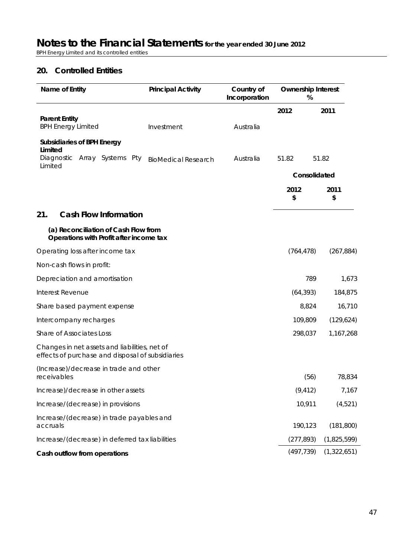BPH Energy Limited and its controlled entities

### **20. Controlled Entities**

| Name of Entity                                                                                    | <b>Principal Activity</b>  | Country of<br>Incorporation | <b>Ownership Interest</b><br>% |             |
|---------------------------------------------------------------------------------------------------|----------------------------|-----------------------------|--------------------------------|-------------|
|                                                                                                   |                            |                             | 2012                           | 2011        |
| <b>Parent Entity</b><br><b>BPH Energy Limited</b>                                                 | Investment                 | Australia                   |                                |             |
| <b>Subsidiaries of BPH Energy</b><br>Limited                                                      |                            |                             |                                |             |
| Diagnostic<br>Array Systems Pty<br>Limited                                                        | <b>BioMedical Research</b> | Australia                   | 51.82                          | 51.82       |
|                                                                                                   |                            |                             | Consolidated                   |             |
|                                                                                                   |                            |                             | 2012<br>\$                     | 2011<br>\$  |
| <b>Cash Flow Information</b><br>21.                                                               |                            |                             |                                |             |
| (a) Reconciliation of Cash Flow from<br>Operations with Profit after income tax                   |                            |                             |                                |             |
| Operating loss after income tax                                                                   |                            |                             | (764, 478)                     | (267, 884)  |
| Non-cash flows in profit:                                                                         |                            |                             |                                |             |
| Depreciation and amortisation                                                                     |                            |                             | 789                            | 1,673       |
| Interest Revenue                                                                                  |                            |                             | (64, 393)                      | 184,875     |
| Share based payment expense                                                                       |                            |                             | 8,824                          | 16,710      |
| Intercompany recharges                                                                            |                            |                             | 109,809                        | (129, 624)  |
| Share of Associates Loss                                                                          |                            |                             | 298,037                        | 1,167,268   |
| Changes in net assets and liabilities, net of<br>effects of purchase and disposal of subsidiaries |                            |                             |                                |             |
| (Increase)/decrease in trade and other<br>receivables                                             |                            |                             | (56)                           | 78,834      |
| Increase)/decrease in other assets                                                                |                            |                             | (9, 412)                       | 7,167       |
| Increase/(decrease) in provisions                                                                 |                            |                             | 10,911                         | (4,521)     |
| Increase/(decrease) in trade payables and<br>accruals                                             |                            |                             | 190,123                        | (181, 800)  |
| Increase/(decrease) in deferred tax liabilities                                                   |                            |                             | (277, 893)                     | (1,825,599) |
| Cash outflow from operations                                                                      |                            |                             | (497, 739)                     | (1,322,651) |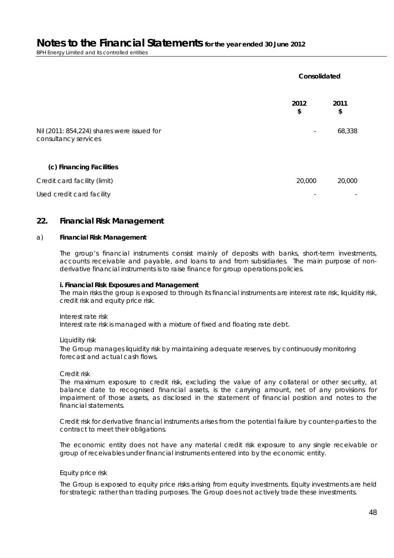BPH Energy Limited and its controlled entities

|                                                                    | Consolidated             |            |
|--------------------------------------------------------------------|--------------------------|------------|
|                                                                    | 2012<br>\$               | 2011<br>\$ |
| Nil (2011: 854,224) shares were issued for<br>consultancy services | $\overline{\phantom{a}}$ | 68,338     |
| (c) Financing Facilities                                           |                          |            |
| Credit card facility (limit)                                       | 20,000                   | 20,000     |
| Used credit card facility                                          |                          |            |

#### **22. Financial Risk Management**

#### a) **Financial Risk Management**

The group's financial instruments consist mainly of deposits with banks, short-term investments, accounts receivable and payable, and loans to and from subsidiaries. The main purpose of nonderivative financial instruments is to raise finance for group operations policies.

#### **i. Financial Risk Exposures and Management**

The main risks the group is exposed to through its financial instruments are interest rate risk, liquidity risk, credit risk and equity price risk.

Interest rate risk

Interest rate risk is managed with a mixture of fixed and floating rate debt.

Liquidity risk

The Group manages liquidity risk by maintaining adequate reserves, by continuously monitoring forecast and actual cash flows.

#### Credit risk

The maximum exposure to credit risk, excluding the value of any collateral or other security, at balance date to recognised financial assets, is the carrying amount, net of any provisions for impairment of those assets, as disclosed in the statement of financial position and notes to the financial statements.

Credit risk for derivative financial instruments arises from the potential failure by counter-parties to the contract to meet their obligations.

The economic entity does not have any material credit risk exposure to any single receivable or group of receivables under financial instruments entered into by the economic entity.

#### Equity price risk

The Group is exposed to equity price risks arising from equity investments. Equity investments are held for strategic rather than trading purposes. The Group does not actively trade these investments.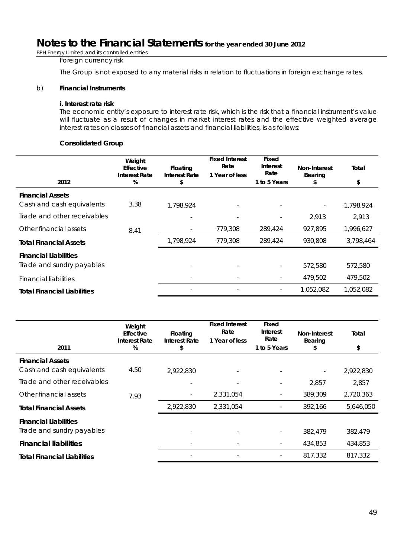BPH Energy Limited and its controlled entities

Foreign currency risk

The Group is not exposed to any material risks in relation to fluctuations in foreign exchange rates.

#### b) **Financial Instruments**

#### **i. Interest rate risk**

The economic entity's exposure to interest rate risk, which is the risk that a financial instrument's value will fluctuate as a result of changes in market interest rates and the effective weighted average interest rates on classes of financial assets and financial liabilities, is as follows:

#### **Consolidated Group**

| 2012                               | Weight<br><b>Effective</b><br>Interest Rate<br>% | Floating<br><b>Interest Rate</b><br>\$ | <b>Fixed Interest</b><br>Rate<br>1 Year of less | Fixed<br>Interest<br>Rate<br>1 to 5 Years | Non-Interest<br>Bearing<br>\$ | Total<br>\$ |
|------------------------------------|--------------------------------------------------|----------------------------------------|-------------------------------------------------|-------------------------------------------|-------------------------------|-------------|
| <b>Financial Assets</b>            |                                                  |                                        |                                                 |                                           |                               |             |
| Cash and cash equivalents          | 3.38                                             | 1,798,924                              |                                                 |                                           |                               | 1,798,924   |
| Trade and other receivables        |                                                  |                                        |                                                 |                                           | 2.913                         | 2.913       |
| Other financial assets             | 8.41                                             | $\overline{\phantom{a}}$               | 779,308                                         | 289,424                                   | 927,895                       | 1,996,627   |
| <b>Total Financial Assets</b>      |                                                  | 1,798,924                              | 779,308                                         | 289,424                                   | 930,808                       | 3,798,464   |
| <b>Financial Liabilities</b>       |                                                  |                                        |                                                 |                                           |                               |             |
| Trade and sundry payables          |                                                  |                                        |                                                 |                                           | 572,580                       | 572,580     |
| <b>Financial liabilities</b>       |                                                  |                                        |                                                 | $\overline{\phantom{a}}$                  | 479,502                       | 479,502     |
| <b>Total Financial Liabilities</b> |                                                  |                                        |                                                 |                                           | 1,052,082                     | 1,052,082   |

| 2011                               | Weight<br><b>Effective</b><br>Interest Rate<br>% | Floating<br><b>Interest Rate</b><br>\$ | <b>Fixed Interest</b><br>Rate<br>1 Year of less | Fixed<br>Interest<br>Rate<br>1 to 5 Years | Non-Interest<br>Bearing<br>ъ | Total<br>\$ |
|------------------------------------|--------------------------------------------------|----------------------------------------|-------------------------------------------------|-------------------------------------------|------------------------------|-------------|
| <b>Financial Assets</b>            |                                                  |                                        |                                                 |                                           |                              |             |
| Cash and cash equivalents          | 4.50                                             | 2,922,830                              |                                                 |                                           | $\overline{\phantom{a}}$     | 2,922,830   |
| Trade and other receivables        |                                                  |                                        |                                                 | $\overline{\phantom{a}}$                  | 2,857                        | 2,857       |
| Other financial assets             | 7.93                                             | $\overline{\phantom{0}}$               | 2,331,054                                       | $\overline{\phantom{a}}$                  | 389,309                      | 2,720,363   |
| <b>Total Financial Assets</b>      |                                                  | 2,922,830                              | 2,331,054                                       | $\overline{\phantom{a}}$                  | 392,166                      | 5,646,050   |
| <b>Financial Liabilities</b>       |                                                  |                                        |                                                 |                                           |                              |             |
| Trade and sundry payables          |                                                  |                                        |                                                 | $\overline{\phantom{a}}$                  | 382,479                      | 382,479     |
| <b>Financial liabilities</b>       |                                                  |                                        |                                                 | $\overline{\phantom{a}}$                  | 434,853                      | 434,853     |
| <b>Total Financial Liabilities</b> |                                                  |                                        |                                                 | $\overline{\phantom{a}}$                  | 817,332                      | 817,332     |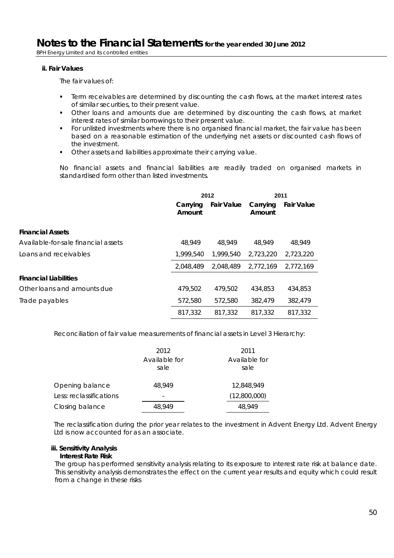BPH Energy Limited and its controlled entities

#### **ii. Fair Values**

The fair values of:

- **Term receivables are determined by discounting the cash flows, at the market interest rates** of similar securities, to their present value.
- Other loans and amounts due are determined by discounting the cash flows, at market interest rates of similar borrowings to their present value.
- For unlisted investments where there is no organised financial market, the fair value has been based on a reasonable estimation of the underlying net assets or discounted cash flows of the investment.
- **•** Other assets and liabilities approximate their carrying value.

No financial assets and financial liabilities are readily traded on organised markets in standardised form other than listed investments.

|                                     | 2012               |                   | 2011               |                   |
|-------------------------------------|--------------------|-------------------|--------------------|-------------------|
|                                     | Carrying<br>Amount | <b>Fair Value</b> | Carrying<br>Amount | <b>Fair Value</b> |
| <b>Financial Assets</b>             |                    |                   |                    |                   |
| Available-for-sale financial assets | 48,949             | 48.949            | 48.949             | 48.949            |
| Loans and receivables               | 1,999,540          | 1,999,540         | 2,723,220          | 2,723,220         |
|                                     | 2.048.489          | 2.048.489         | 2,772,169          | 2.772.169         |
| Financial Liabilities               |                    |                   |                    |                   |
| Other loans and amounts due         | 479,502            | 479.502           | 434,853            | 434,853           |
| Trade payables                      | 572,580            | 572,580           | 382,479            | 382,479           |
|                                     | 817,332            | 817,332           | 817,332            | 817,332           |

Reconciliation of fair value measurements of financial assets in Level 3 Hierarchy:

|                         | 2012                  | 2011                  |
|-------------------------|-----------------------|-----------------------|
|                         | Available for<br>sale | Available for<br>sale |
| Opening balance         | 48.949                | 12,848,949            |
| Less: reclassifications | -                     | (12,800,000)          |
| Closing balance         | 48.949                | 48.949                |

The reclassification during the prior year relates to the investment in Advent Energy Ltd. Advent Energy Ltd is now accounted for as an associate.

#### **iii. Sensitivity Analysis**

#### **Interest Rate Risk**

The group has performed sensitivity analysis relating to its exposure to interest rate risk at balance date. This sensitivity analysis demonstrates the effect on the current year results and equity which could result from a change in these risks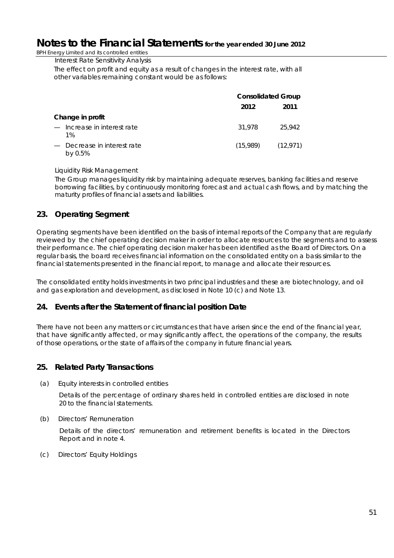#### BPH Energy Limited and its controlled entities *Interest Rate Sensitivity Analysis*

The effect on profit and equity as a result of changes in the interest rate, with all other variables remaining constant would be as follows:

|                                           |          | <b>Consolidated Group</b> |  |
|-------------------------------------------|----------|---------------------------|--|
|                                           | 2012     | 2011                      |  |
| Change in profit                          |          |                           |  |
| - Increase in interest rate<br>1%         | 31,978   | 25,942                    |  |
| - Decrease in interest rate<br>by $0.5\%$ | (15,989) | (12, 971)                 |  |

#### *Liquidity Risk Management*

The Group manages liquidity risk by maintaining adequate reserves, banking facilities and reserve borrowing facilities, by continuously monitoring forecast and actual cash flows, and by matching the maturity profiles of financial assets and liabilities.

#### **23. Operating Segment**

Operating segments have been identified on the basis of internal reports of the Company that are regularly reviewed by the chief operating decision maker in order to allocate resources to the segments and to assess their performance. The chief operating decision maker has been identified as the Board of Directors. On a regular basis, the board receives financial information on the consolidated entity on a basis similar to the financial statements presented in the financial report, to manage and allocate their resources.

The consolidated entity holds investments in two principal industries and these are biotechnology, and oil and gas exploration and development, as disclosed in Note 10 (c) and Note 13.

#### **24. Events after the Statement of financial position Date**

There have not been any matters or circumstances that have arisen since the end of the financial year, that have significantly affected, or may significantly affect, the operations of the company, the results of those operations, or the state of affairs of the company in future financial years.

#### **25. Related Party Transactions**

*(a) Equity interests in controlled entities* 

Details of the percentage of ordinary shares held in controlled entities are disclosed in note 20 to the financial statements.

*(b) Directors' Remuneration* 

Details of the directors' remuneration and retirement benefits is located in the Directors Report and in note 4.

*(c) Directors' Equity Holdings*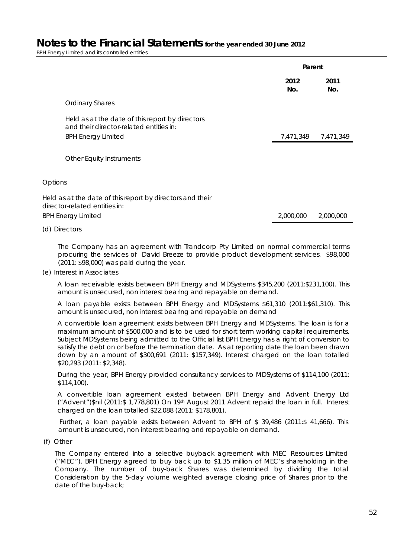BPH Energy Limited and its controlled entities

|                                                                                            | Parent      |             |
|--------------------------------------------------------------------------------------------|-------------|-------------|
|                                                                                            | 2012<br>No. | 2011<br>No. |
| <b>Ordinary Shares</b>                                                                     |             |             |
| Held as at the date of this report by directors<br>and their director-related entities in: |             |             |
| <b>BPH Energy Limited</b>                                                                  | 7,471,349   | 7,471,349   |
| <b>Other Equity Instruments</b>                                                            |             |             |
| Options                                                                                    |             |             |
| Held as at the date of this report by directors and their<br>director-related entities in: |             |             |
| <b>BPH Energy Limited</b>                                                                  | 2,000,000   | 2,000,000   |

#### *(d) Directors*

 The Company has an agreement with Trandcorp Pty Limited on normal commercial terms procuring the services of David Breeze to provide product development services. \$98,000 (2011: \$98,000) was paid during the year.

#### *(e) Interest in Associates*

A loan receivable exists between BPH Energy and MDSystems \$345,200 (2011:\$231,100). This amount is unsecured, non interest bearing and repayable on demand.

A loan payable exists between BPH Energy and MDSystems \$61,310 (2011:\$61,310). This amount is unsecured, non interest bearing and repayable on demand

A convertible loan agreement exists between BPH Energy and MDSystems. The loan is for a maximum amount of \$500,000 and is to be used for short term working capital requirements. Subject MDSystems being admitted to the Official list BPH Energy has a right of conversion to satisfy the debt on or before the termination date. As at reporting date the loan been drawn down by an amount of \$300,691 (2011: \$157,349). Interest charged on the loan totalled \$20,293 (2011: \$2,348).

During the year, BPH Energy provided consultancy services to MDSystems of \$114,100 (2011: \$114,100).

A convertible loan agreement existed between BPH Energy and Advent Energy Ltd ("Advent")\$nil (2011:\$ 1,778,801) On 19th August 2011 Advent repaid the loan in full. Interest charged on the loan totalled \$22,088 (2011: \$178,801).

Further, a loan payable exists between Advent to BPH of \$ 39,486 (2011:\$ 41,666). This amount is unsecured, non interest bearing and repayable on demand.

*(f) Other* 

The Company entered into a selective buyback agreement with MEC Resources Limited ("MEC"). BPH Energy agreed to buy back up to \$1.35 million of MEC's shareholding in the Company. The number of buy-back Shares was determined by dividing the total Consideration by the 5-day volume weighted average closing price of Shares prior to the date of the buy-back;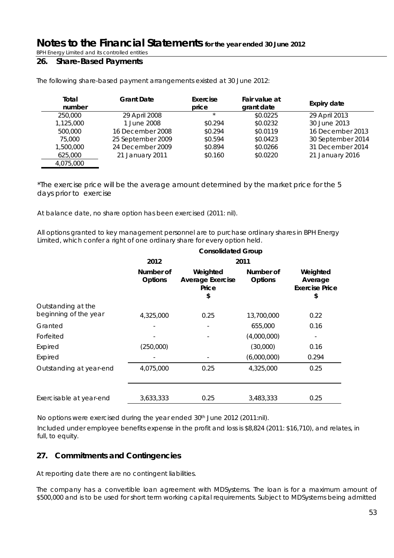BPH Energy Limited and its controlled entities

#### **26. Share-Based Payments**

| Total<br>number | <b>Grant Date</b> | Exercise<br>price | Fair value at<br>grant date | <b>Expiry date</b> |
|-----------------|-------------------|-------------------|-----------------------------|--------------------|
| 250,000         | 29 April 2008     | $\star$           | \$0.0225                    | 29 April 2013      |
| 1.125.000       | 1 June 2008       | \$0.294           | \$0.0232                    | 30 June 2013       |
| 500,000         | 16 December 2008  | \$0.294           | \$0.0119                    | 16 December 2013   |
| 75.000          | 25 September 2009 | \$0.594           | \$0.0423                    | 30 September 2014  |
| 1,500,000       | 24 December 2009  | \$0.894           | \$0.0266                    | 31 December 2014   |
| 625,000         | 21 January 2011   | \$0.160           | \$0.0220                    | 21 January 2016    |
| 4,075,000       |                   |                   |                             |                    |

The following share-based payment arrangements existed at 30 June 2012:

\*The exercise price will be the average amount determined by the market price for the 5 days prior to exercise

At balance date, no share option has been exercised (2011: nil).

All options granted to key management personnel are to purchase ordinary shares in BPH Energy Limited, which confer a right of one ordinary share for every option held.

|                                             | <b>Consolidated Group</b>   |                                                    |                             |                                                    |  |  |
|---------------------------------------------|-----------------------------|----------------------------------------------------|-----------------------------|----------------------------------------------------|--|--|
|                                             | 2012                        |                                                    | 2011                        |                                                    |  |  |
|                                             | Number of<br><b>Options</b> | Weighted<br><b>Average Exercise</b><br>Price<br>\$ | Number of<br><b>Options</b> | Weighted<br>Average<br><b>Exercise Price</b><br>\$ |  |  |
| Outstanding at the<br>beginning of the year | 4,325,000                   | 0.25                                               | 13,700,000                  | 0.22                                               |  |  |
| Granted                                     |                             |                                                    | 655,000                     | 0.16                                               |  |  |
| Forfeited                                   |                             |                                                    | (4,000,000)                 |                                                    |  |  |
| Expired                                     | (250,000)                   |                                                    | (30,000)                    | 0.16                                               |  |  |
| Expired                                     |                             |                                                    | (6,000,000)                 | 0.294                                              |  |  |
| Outstanding at year-end                     | 4,075,000                   | 0.25                                               | 4,325,000                   | 0.25                                               |  |  |
| Exercisable at year-end                     | 3,633,333                   | 0.25                                               | 3,483,333                   | 0.25                                               |  |  |
|                                             |                             |                                                    |                             |                                                    |  |  |

No options were exercised during the year ended 30<sup>th</sup> June 2012 (2011:nil).

Included under employee benefits expense in the profit and loss is \$8,824 (2011: \$16,710), and relates, in full, to equity.

#### **27. Commitments and Contingencies**

At reporting date there are no contingent liabilities.

The company has a convertible loan agreement with MDSystems. The loan is for a maximum amount of \$500,000 and is to be used for short term working capital requirements. Subject to MDSystems being admitted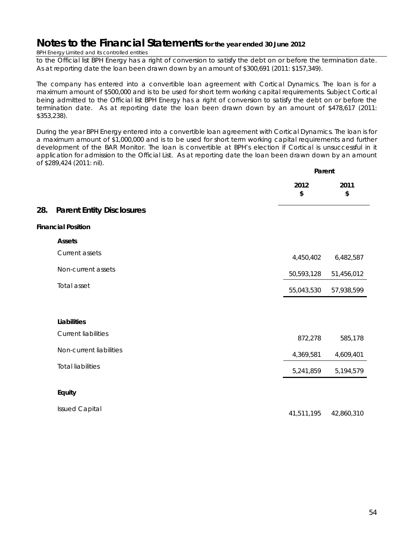BPH Energy Limited and its controlled entities

to the Official list BPH Energy has a right of conversion to satisfy the debt on or before the termination date. As at reporting date the loan been drawn down by an amount of \$300,691 (2011: \$157,349).

The company has entered into a convertible loan agreement with Cortical Dynamics. The loan is for a maximum amount of \$500,000 and is to be used for short term working capital requirements. Subject Cortical being admitted to the Official list BPH Energy has a right of conversion to satisfy the debt on or before the termination date. As at reporting date the loan been drawn down by an amount of \$478,617 (2011: \$353,238).

During the year BPH Energy entered into a convertible loan agreement with Cortical Dynamics. The loan is for a maximum amount of \$1,000,000 and is to be used for short term working capital requirements and further development of the BAR Monitor. The loan is convertible at BPH's election if Cortical is unsuccessful in it application for admission to the Official List. As at reporting date the loan been drawn down by an amount of \$289,424 (2011: nil).

|     |                                  | Parent     |            |
|-----|----------------------------------|------------|------------|
|     |                                  | 2012<br>\$ | 2011<br>\$ |
| 28. | <b>Parent Entity Disclosures</b> |            |            |
|     | <b>Financial Position</b>        |            |            |
|     | <b>Assets</b>                    |            |            |
|     | Current assets                   | 4,450,402  | 6,482,587  |
|     | Non-current assets               | 50,593,128 | 51,456,012 |
|     | Total asset                      | 55,043,530 | 57,938,599 |
|     |                                  |            |            |
|     | Liabilities                      |            |            |
|     | <b>Current liabilities</b>       | 872,278    | 585,178    |
|     | Non-current liabilities          | 4,369,581  | 4,609,401  |
|     | <b>Total liabilities</b>         | 5,241,859  | 5,194,579  |
|     | Equity                           |            |            |
|     | Issued Capital                   | 41,511,195 | 42,860,310 |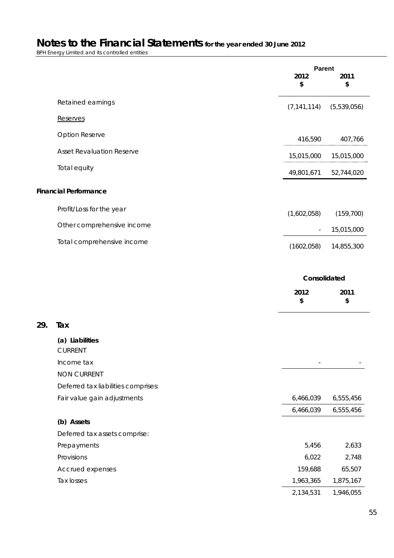BPH Energy Limited and its controlled entities

|     |                                     | <b>Parent</b><br>2012<br>\$ | 2011<br>\$     |
|-----|-------------------------------------|-----------------------------|----------------|
|     | Retained earnings                   | (7, 141, 114)               | (5,539,056)    |
|     | Reserves                            |                             |                |
|     | <b>Option Reserve</b>               | 416,590                     | 407,766        |
|     | <b>Asset Revaluation Reserve</b>    | 15,015,000                  | 15,015,000     |
|     | Total equity                        | 49,801,671                  | 52,744,020     |
|     | <b>Financial Performance</b>        |                             |                |
|     | Profit/Loss for the year            | (1,602,058)                 | (159, 700)     |
|     | Other comprehensive income          |                             | 15,015,000     |
|     | Total comprehensive income          | (1602, 058)                 | 14,855,300     |
|     |                                     | Consolidated                |                |
|     |                                     | 2012<br>\$                  | 2011<br>\$     |
| 29. | Tax                                 |                             |                |
|     | (a) Liabilities<br><b>CURRENT</b>   |                             |                |
|     | Income tax                          |                             |                |
|     | <b>NON CURRENT</b>                  |                             |                |
|     | Deferred tax liabilities comprises: |                             |                |
|     | Fair value gain adjustments         | 6,466,039                   | 6,555,456      |
|     |                                     | 6,466,039                   | 6,555,456      |
|     | (b) Assets                          |                             |                |
|     | Deferred tax assets comprise:       |                             |                |
|     | Prepayments<br>Provisions           | 5,456<br>6,022              | 2,633<br>2,748 |
|     | Accrued expenses                    | 159,688                     | 65,507         |
|     |                                     |                             |                |
|     | Tax losses                          | 1,963,365                   | 1,875,167      |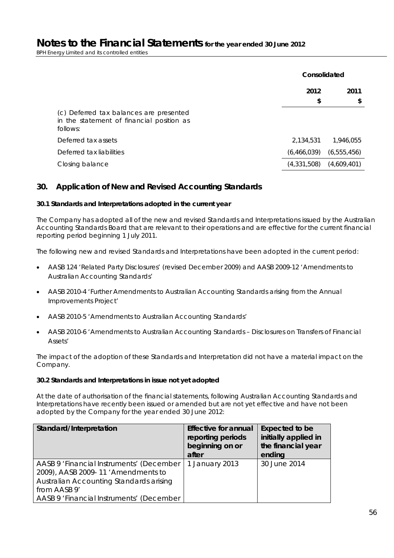BPH Energy Limited and its controlled entities

|                                                                                                  | Consolidated |             |  |
|--------------------------------------------------------------------------------------------------|--------------|-------------|--|
|                                                                                                  | 2012<br>\$   | 2011<br>\$  |  |
| (c) Deferred tax balances are presented<br>in the statement of financial position as<br>follows: |              |             |  |
| Deferred tax assets                                                                              | 2,134,531    | 1,946,055   |  |
| Deferred tax liabilities                                                                         | (6,466,039)  | (6,555,456) |  |
| Closing balance                                                                                  | (4,331,508)  | (4,609,401) |  |

#### **30. Application of New and Revised Accounting Standards**

#### **30.1 Standards and Interpretations adopted in the current year**

The Company has adopted all of the new and revised Standards and Interpretations issued by the Australian Accounting Standards Board that are relevant to their operations and are effective for the current financial reporting period beginning 1 July 2011.

The following new and revised Standards and Interpretations have been adopted in the current period:

- AASB 124 'Related Party Disclosures' (revised December 2009) and AASB 2009-12 'Amendments to Australian Accounting Standards'
- AASB 2010-4 'Further Amendments to Australian Accounting Standards arising from the Annual Improvements Project'
- AASB 2010-5 'Amendments to Australian Accounting Standards'
- AASB 2010-6 'Amendments to Australian Accounting Standards Disclosures on Transfers of Financial Assets'

The impact of the adoption of these Standards and Interpretation did not have a material impact on the Company.

#### **30.2 Standards and Interpretations in issue not yet adopted**

At the date of authorisation of the financial statements, following Australian Accounting Standards and Interpretations have recently been issued or amended but are not yet effective and have not been adopted by the Company for the year ended 30 June 2012:

| Standard/Interpretation                                                                                                                                                               | <b>Effective for annual</b><br>reporting periods<br>beginning on or<br>after | Expected to be<br>initially applied in<br>the financial year<br>ending |
|---------------------------------------------------------------------------------------------------------------------------------------------------------------------------------------|------------------------------------------------------------------------------|------------------------------------------------------------------------|
| AASB 9 'Financial Instruments' (December<br>2009), AASB 2009-11 'Amendments to<br>Australian Accounting Standards arising<br>from AASB 9'<br>AASB 9 'Financial Instruments' (December | 1 January 2013                                                               | 30 June 2014                                                           |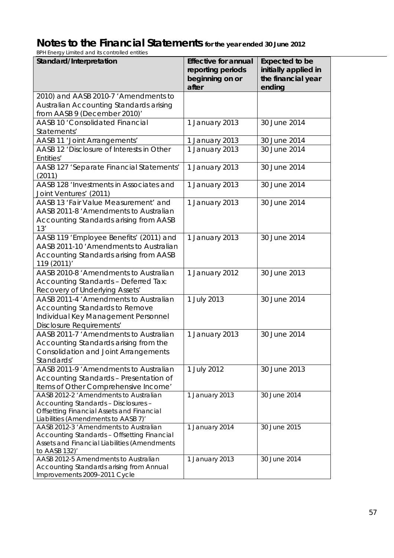BPH Energy Limited and its controlled entities

| Standard/Interpretation                                                  | <b>Effective for annual</b> | <b>Expected to be</b> |
|--------------------------------------------------------------------------|-----------------------------|-----------------------|
|                                                                          | reporting periods           | initially applied in  |
|                                                                          | beginning on or             | the financial year    |
|                                                                          | after                       | ending                |
| 2010) and AASB 2010-7 'Amendments to                                     |                             |                       |
| Australian Accounting Standards arising                                  |                             |                       |
| from AASB 9 (December 2010)'                                             |                             |                       |
| AASB 10 'Consolidated Financial                                          | 1 January 2013              | 30 June 2014          |
| Statements'                                                              |                             |                       |
| AASB 11 'Joint Arrangements'                                             | 1 January 2013              | 30 June 2014          |
| AASB 12 'Disclosure of Interests in Other<br>Entities'                   | 1 January 2013              | 30 June 2014          |
| AASB 127 'Separate Financial Statements'<br>(2011)                       | 1 January 2013              | 30 June 2014          |
| AASB 128 'Investments in Associates and                                  | 1 January 2013              | 30 June 2014          |
| Joint Ventures' (2011)                                                   |                             |                       |
| AASB 13 'Fair Value Measurement' and                                     | 1 January 2013              | 30 June 2014          |
| AASB 2011-8 'Amendments to Australian                                    |                             |                       |
| Accounting Standards arising from AASB<br>13'                            |                             |                       |
| AASB 119 'Employee Benefits' (2011) and                                  | 1 January 2013              | 30 June 2014          |
| AASB 2011-10 'Amendments to Australian                                   |                             |                       |
| Accounting Standards arising from AASB                                   |                             |                       |
| 119 (2011)'                                                              |                             |                       |
| AASB 2010-8 'Amendments to Australian                                    | 1 January 2012              | 30 June 2013          |
| Accounting Standards - Deferred Tax:                                     |                             |                       |
| Recovery of Underlying Assets'                                           |                             |                       |
| AASB 2011-4 'Amendments to Australian                                    | 1 July 2013                 | 30 June 2014          |
| Accounting Standards to Remove                                           |                             |                       |
| Individual Key Management Personnel                                      |                             |                       |
| <b>Disclosure Requirements'</b><br>AASB 2011-7 'Amendments to Australian |                             |                       |
|                                                                          | 1 January 2013              | 30 June 2014          |
| Accounting Standards arising from the                                    |                             |                       |
| <b>Consolidation and Joint Arrangements</b><br>Standards'                |                             |                       |
| AASB 2011-9 'Amendments to Australian                                    | 1 July 2012                 | 30 June 2013          |
| Accounting Standards - Presentation of                                   |                             |                       |
| Items of Other Comprehensive Income'                                     |                             |                       |
| AASB 2012-2 'Amendments to Australian                                    | 1 January 2013              | 30 June 2014          |
| Accounting Standards - Disclosures -                                     |                             |                       |
| <b>Offsetting Financial Assets and Financial</b>                         |                             |                       |
| Liabilities (Amendments to AASB 7)'                                      |                             |                       |
| AASB 2012-3 'Amendments to Australian                                    | 1 January 2014              | 30 June 2015          |
| Accounting Standards - Offsetting Financial                              |                             |                       |
| Assets and Financial Liabilities (Amendments<br>to AASB 132)'            |                             |                       |
| AASB 2012-5 Amendments to Australian                                     | 1 January 2013              | 30 June 2014          |
| Accounting Standards arising from Annual                                 |                             |                       |
| Improvements 2009-2011 Cycle                                             |                             |                       |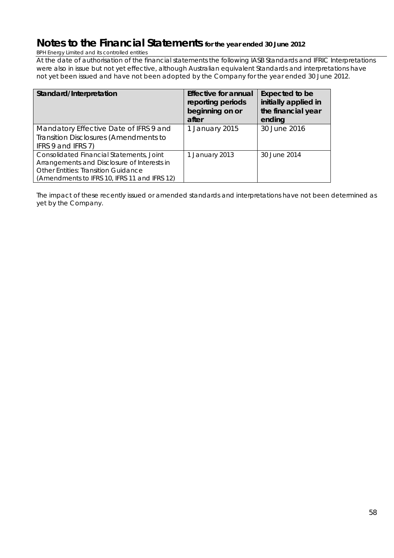BPH Energy Limited and its controlled entities

At the date of authorisation of the financial statements the following IASB Standards and IFRIC Interpretations were also in issue but not yet effective, although Australian equivalent Standards and interpretations have not yet been issued and have not been adopted by the Company for the year ended 30 June 2012.

| Standard/Interpretation                                                                                                                                                               | <b>Effective for annual</b><br>reporting periods<br>beginning on or<br>after | <b>Expected to be</b><br>initially applied in<br>the financial year<br>ending |
|---------------------------------------------------------------------------------------------------------------------------------------------------------------------------------------|------------------------------------------------------------------------------|-------------------------------------------------------------------------------|
| Mandatory Effective Date of IFRS 9 and<br><b>Transition Disclosures (Amendments to</b><br>IFRS 9 and IFRS 7)                                                                          | 1 January 2015                                                               | 30 June 2016                                                                  |
| Consolidated Financial Statements, Joint<br>Arrangements and Disclosure of Interests in<br><b>Other Entities: Transition Guidance</b><br>(Amendments to IFRS 10, IFRS 11 and IFRS 12) | 1 January 2013                                                               | 30 June 2014                                                                  |

The impact of these recently issued or amended standards and interpretations have not been determined as yet by the Company.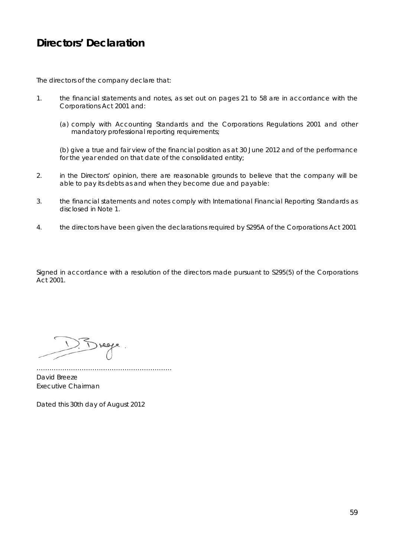### **Directors' Declaration**

The directors of the company declare that:

- 1. the financial statements and notes, as set out on pages 21 to 58 are in accordance with the Corporations Act 2001 and:
	- (a) comply with Accounting Standards and the Corporations Regulations 2001 and other mandatory professional reporting requirements;

(b) give a true and fair view of the financial position as at 30 June 2012 and of the performance for the year ended on that date of the consolidated entity;

- 2. in the Directors' opinion, there are reasonable grounds to believe that the company will be able to pay its debts as and when they become due and payable:
- 3. the financial statements and notes comply with International Financial Reporting Standards as disclosed in Note 1.
- 4. the directors have been given the declarations required by S295A of the Corporations Act 2001

Signed in accordance with a resolution of the directors made pursuant to S295(5) of the Corporations Act 2001.

……………………………………………………… David Breeze Executive Chairman

Dated this 30th day of August 2012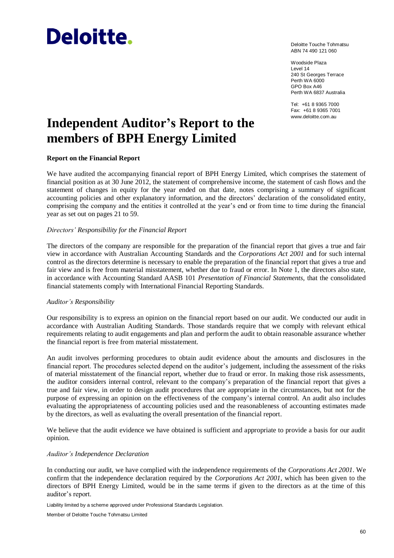# **Deloitte.**

Deloitte Touche Tohmatsu ABN 74 490 121 060

Woodside Plaza Level 14 240 St Georges Terrace Perth WA 6000 GPO Box A46 Perth WA 6837 Australia

Tel: +61 8 9365 7000 Fax: +61 8 9365 7001

## Independent Auditor's Report to the **WANDING COMPLAND members of BPH Energy Limited**

#### **Report on the Financial Report**

We have audited the accompanying financial report of BPH Energy Limited, which comprises the statement of financial position as at 30 June 2012, the statement of comprehensive income, the statement of cash flows and the statement of changes in equity for the year ended on that date, notes comprising a summary of significant accounting policies and other explanatory information, and the directors' declaration of the consolidated entity, comprising the company and the entities it controlled at the year's end or from time to time during the financial year as set out on pages 21 to 59.

#### *Directors' Responsibility for the Financial Report*

The directors of the company are responsible for the preparation of the financial report that gives a true and fair view in accordance with Australian Accounting Standards and the *Corporations Act 2001* and for such internal control as the directors determine is necessary to enable the preparation of the financial report that gives a true and fair view and is free from material misstatement, whether due to fraud or error. In Note 1, the directors also state, in accordance with Accounting Standard AASB 101 *Presentation of Financial Statements*, that the consolidated financial statements comply with International Financial Reporting Standards.

#### *Auditor's Responsibility*

Our responsibility is to express an opinion on the financial report based on our audit. We conducted our audit in accordance with Australian Auditing Standards. Those standards require that we comply with relevant ethical requirements relating to audit engagements and plan and perform the audit to obtain reasonable assurance whether the financial report is free from material misstatement.

An audit involves performing procedures to obtain audit evidence about the amounts and disclosures in the financial report. The procedures selected depend on the auditor's judgement, including the assessment of the risks of material misstatement of the financial report, whether due to fraud or error. In making those risk assessments, the auditor considers internal control, relevant to the company's preparation of the financial report that gives a true and fair view, in order to design audit procedures that are appropriate in the circumstances, but not for the purpose of expressing an opinion on the effectiveness of the company's internal control. An audit also includes evaluating the appropriateness of accounting policies used and the reasonableness of accounting estimates made by the directors, as well as evaluating the overall presentation of the financial report.

We believe that the audit evidence we have obtained is sufficient and appropriate to provide a basis for our audit opinion.

#### *Auditor's Independence Declaration*

In conducting our audit, we have complied with the independence requirements of the *Corporations Act 2001*. We confirm that the independence declaration required by the *Corporations Act 2001*, which has been given to the directors of BPH Energy Limited, would be in the same terms if given to the directors as at the time of this auditor's report.

Liability limited by a scheme approved under Professional Standards Legislation.

Member of Deloitte Touche Tohmatsu Limited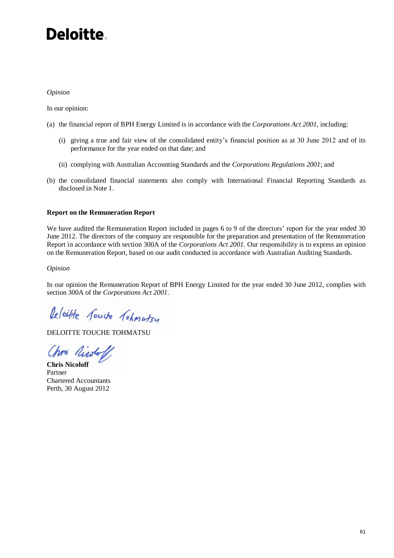# Deloitte.

#### *Opinion*

In our opinion:

- (a) the financial report of BPH Energy Limited is in accordance with the *Corporations Act 2001*, including:
	- (i) giving a true and fair view of the consolidated entity's financial position as at 30 June 2012 and of its performance for the year ended on that date; and
	- (ii) complying with Australian Accounting Standards and the *Corporations Regulations 2001*; and
- (b) the consolidated financial statements also comply with International Financial Reporting Standards as disclosed in Note 1.

#### **Report on the Remuneration Report**

We have audited the Remuneration Report included in pages 6 to 9 of the directors' report for the year ended 30 June 2012. The directors of the company are responsible for the preparation and presentation of the Remuneration Report in accordance with section 300A of the *Corporations Act 2001*. Our responsibility is to express an opinion on the Remuneration Report, based on our audit conducted in accordance with Australian Auditing Standards.

#### *Opinion*

In our opinion the Remuneration Report of BPH Energy Limited for the year ended 30 June 2012, complies with section 300A of the *Corporations Act 2001*.

Deloitte fourte fohmatsy

DELOITTE TOUCHE TOHMATSU

Chris River

**Chris Nicoloff** Partner Chartered Accountants Perth, 30 August 2012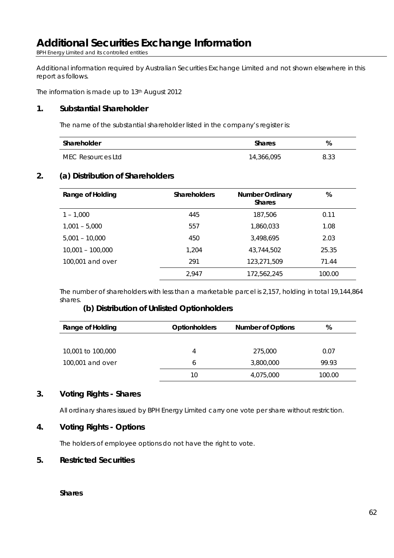BPH Energy Limited and its controlled entities

Additional information required by Australian Securities Exchange Limited and not shown elsewhere in this report as follows.

The information is made up to 13th August 2012

#### **1. Substantial Shareholder**

The name of the substantial shareholder listed in the company's register is:

| Shareholder       | <b>Shares</b> | %    |  |
|-------------------|---------------|------|--|
| MEC Resources Ltd | 14,366,095    | 8.33 |  |

#### **2. (a) Distribution of Shareholders**

| Range of Holding   | <b>Shareholders</b> | <b>Number Ordinary</b><br><b>Shares</b> | %      |
|--------------------|---------------------|-----------------------------------------|--------|
| $1 - 1.000$        | 445                 | 187,506                                 | 0.11   |
| $1,001 - 5,000$    | 557                 | 1,860,033                               | 1.08   |
| $5,001 - 10,000$   | 450                 | 3.498.695                               | 2.03   |
| $10.001 - 100.000$ | 1,204               | 43,744,502                              | 25.35  |
| 100,001 and over   | 291                 | 123,271,509                             | 71.44  |
|                    | 2,947               | 172,562,245                             | 100.00 |

 The number of shareholders with less than a marketable parcel is 2,157, holding in total 19,144,864 shares.

#### **(b) Distribution of Unlisted Optionholders**

| Range of Holding  | <b>Optionholders</b> | <b>Number of Options</b> | %      |
|-------------------|----------------------|--------------------------|--------|
|                   |                      |                          |        |
| 10,001 to 100,000 | 4                    | 275,000                  | 0.07   |
| 100,001 and over  | 6                    | 3,800,000                | 99.93  |
|                   | 10                   | 4,075,000                | 100.00 |

#### **3. Voting Rights - Shares**

All ordinary shares issued by BPH Energy Limited carry one vote per share without restriction.

#### **4. Voting Rights - Options**

The holders of employee options do not have the right to vote.

#### **5. Restricted Securities**

**Shares**